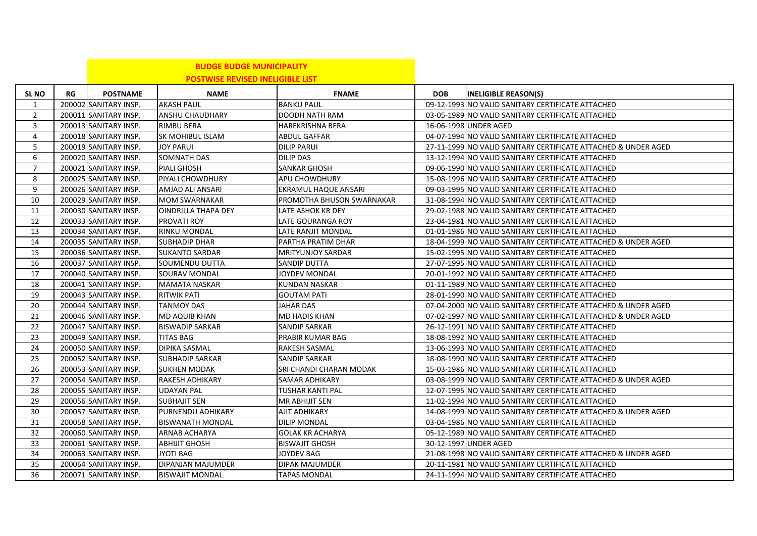|                 |    |                       | <b>BUDGE BUDGE MUNICIPALITY</b>         |                           |            |                                                                |
|-----------------|----|-----------------------|-----------------------------------------|---------------------------|------------|----------------------------------------------------------------|
|                 |    |                       | <b>POSTWISE REVISED INELIGIBLE LIST</b> |                           |            |                                                                |
| <b>SL NO</b>    | RG | <b>POSTNAME</b>       | <b>NAME</b>                             | <b>FNAME</b>              | <b>DOB</b> | <b>INELIGIBLE REASON(S)</b>                                    |
| 1               |    | 200002 SANITARY INSP. | <b>AKASH PAUL</b>                       | <b>BANKU PAUL</b>         |            | 09-12-1993 NO VALID SANITARY CERTIFICATE ATTACHED              |
| $\overline{2}$  |    | 200011 SANITARY INSP. | ANSHU CHAUDHARY                         | DOODH NATH RAM            |            | 03-05-1989 NO VALID SANITARY CERTIFICATE ATTACHED              |
| 3               |    | 200013 SANITARY INSP. | <b>RIMBU BERA</b>                       | <b>HAREKRISHNA BERA</b>   |            | 16-06-1998 UNDER AGED                                          |
| 4               |    | 200018 SANITARY INSP. | <b>SK MOHIBUL ISLAM</b>                 | <b>ABDUL GAFFAR</b>       |            | 04-07-1994 NO VALID SANITARY CERTIFICATE ATTACHED              |
| 5               |    | 200019 SANITARY INSP. | <b>JOY PARUI</b>                        | <b>DILIP PARUI</b>        |            | 27-11-1999 NO VALID SANITARY CERTIFICATE ATTACHED & UNDER AGED |
| 6               |    | 200020 SANITARY INSP. | SOMNATH DAS                             | DILIP DAS                 |            | 13-12-1994 NO VALID SANITARY CERTIFICATE ATTACHED              |
| $\overline{7}$  |    | 200021 SANITARY INSP. | <b>PIALI GHOSH</b>                      | <b>SANKAR GHOSH</b>       |            | 09-06-1990 NO VALID SANITARY CERTIFICATE ATTACHED              |
| 8               |    | 200025 SANITARY INSP. | PIYALI CHOWDHURY                        | APU CHOWDHURY             |            | 15-08-1996 NO VALID SANITARY CERTIFICATE ATTACHED              |
| 9               |    | 200026 SANITARY INSP. | AMJAD ALI ANSARI                        | EKRAMUL HAQUE ANSARI      |            | 09-03-1995 NO VALID SANITARY CERTIFICATE ATTACHED              |
| 10              |    | 200029 SANITARY INSP. | <b>MOM SWARNAKAR</b>                    | PROMOTHA BHUSON SWARNAKAR |            | 31-08-1994 NO VALID SANITARY CERTIFICATE ATTACHED              |
| 11              |    | 200030 SANITARY INSP. | <b>OINDRILLA THAPA DEY</b>              | LATE ASHOK KR DEY         |            | 29-02-1988 NO VALID SANITARY CERTIFICATE ATTACHED              |
| 12              |    | 200033 SANITARY INSP. | <b>PROVATI ROY</b>                      | LATE GOURANGA ROY         |            | 23-04-1981 NO VALID SANITARY CERTIFICATE ATTACHED              |
| 13              |    | 200034 SANITARY INSP. | <b>RINKU MONDAL</b>                     | LATE RANJIT MONDAL        |            | 01-01-1986 NO VALID SANITARY CERTIFICATE ATTACHED              |
| 14              |    | 200035 SANITARY INSP. | <b>SUBHADIP DHAR</b>                    | PARTHA PRATIM DHAR        |            | 18-04-1999 NO VALID SANITARY CERTIFICATE ATTACHED & UNDER AGED |
| 15              |    | 200036 SANITARY INSP. | <b>SUKANTO SARDAR</b>                   | <b>MRITYUNJOY SARDAR</b>  |            | 15-02-1995 NO VALID SANITARY CERTIFICATE ATTACHED              |
| 16              |    | 200037 SANITARY INSP. | SOUMENDU DUTTA                          | SANDIP DUTTA              |            | 27-07-1995 NO VALID SANITARY CERTIFICATE ATTACHED              |
| 17              |    | 200040 SANITARY INSP. | SOURAV MONDAL                           | JOYDEV MONDAL             |            | 20-01-1992 NO VALID SANITARY CERTIFICATE ATTACHED              |
| 18              |    | 200041 SANITARY INSP. | <b>MAMATA NASKAR</b>                    | KUNDAN NASKAR             |            | 01-11-1989 NO VALID SANITARY CERTIFICATE ATTACHED              |
| 19              |    | 200043 SANITARY INSP. | <b>RITWIK PATI</b>                      | <b>GOUTAM PATI</b>        |            | 28-01-1990 NO VALID SANITARY CERTIFICATE ATTACHED              |
| 20              |    | 200044 SANITARY INSP. | <b>TANMOY DAS</b>                       | <b>JAHAR DAS</b>          |            | 07-04-2000 NO VALID SANITARY CERTIFICATE ATTACHED & UNDER AGED |
| 21              |    | 200046 SANITARY INSP. | <b>MD AQUIB KHAN</b>                    | <b>MD HADIS KHAN</b>      |            | 07-02-1997 NO VALID SANITARY CERTIFICATE ATTACHED & UNDER AGED |
| 22              |    | 200047 SANITARY INSP. | <b>BISWADIP SARKAR</b>                  | <b>SANDIP SARKAR</b>      |            | 26-12-1991 NO VALID SANITARY CERTIFICATE ATTACHED              |
| 23              |    | 200049 SANITARY INSP. | <b>TITAS BAG</b>                        | PRABIR KUMAR BAG          |            | 18-08-1992 NO VALID SANITARY CERTIFICATE ATTACHED              |
| 24              |    | 200050 SANITARY INSP. | <b>DIPIKA SASMAL</b>                    | <b>RAKESH SASMAL</b>      |            | 13-06-1993 NO VALID SANITARY CERTIFICATE ATTACHED              |
| 25              |    | 200052 SANITARY INSP. | <b>SUBHADIP SARKAR</b>                  | SANDIP SARKAR             |            | 18-08-1990 NO VALID SANITARY CERTIFICATE ATTACHED              |
| 26              |    | 200053 SANITARY INSP. | <b>SUKHEN MODAK</b>                     | SRI CHANDI CHARAN MODAK   |            | 15-03-1986 NO VALID SANITARY CERTIFICATE ATTACHED              |
| 27              |    | 200054 SANITARY INSP. | <b>RAKESH ADHIKARY</b>                  | SAMAR ADHIKARY            |            | 03-08-1999 NO VALID SANITARY CERTIFICATE ATTACHED & UNDER AGED |
| 28              |    | 200055 SANITARY INSP. | <b>UDAYAN PAL</b>                       | <b>TUSHAR KANTI PAL</b>   |            | 12-07-1995 NO VALID SANITARY CERTIFICATE ATTACHED              |
| 29              |    | 200056 SANITARY INSP. | <b>SUBHAJIT SEN</b>                     | <b>MR ABHIJIT SEN</b>     |            | 11-02-1994 NO VALID SANITARY CERTIFICATE ATTACHED              |
| 30              |    | 200057 SANITARY INSP. | PURNENDU ADHIKARY                       | AJIT ADHIKARY             |            | 14-08-1999 NO VALID SANITARY CERTIFICATE ATTACHED & UNDER AGED |
| 31              |    | 200058 SANITARY INSP. | <b>BISWANATH MONDAL</b>                 | <b>DILIP MONDAL</b>       |            | 03-04-1986 NO VALID SANITARY CERTIFICATE ATTACHED              |
| 32              |    | 200060 SANITARY INSP. | <b>ARNAB ACHARYA</b>                    | <b>GOLAK KR ACHARYA</b>   |            | 05-12-1989 NO VALID SANITARY CERTIFICATE ATTACHED              |
| 33              |    | 200061 SANITARY INSP. | <b>ABHIJIT GHOSH</b>                    | <b>BISWAJIT GHOSH</b>     |            | 30-12-1997 UNDER AGED                                          |
| 34              |    | 200063 SANITARY INSP. | JYOTI BAG                               | JOYDEV BAG                |            | 21-08-1998 NO VALID SANITARY CERTIFICATE ATTACHED & UNDER AGED |
| 35              |    | 200064 SANITARY INSP. | DIPANJAN MAJUMDER                       | DIPAK MAJUMDER            |            | 20-11-1981 NO VALID SANITARY CERTIFICATE ATTACHED              |
| $\overline{36}$ |    | 200071 SANITARY INSP. | <b>BISWAJIT MONDAL</b>                  | <b>TAPAS MONDAL</b>       |            | 24-11-1994 NO VALID SANITARY CERTIFICATE ATTACHED              |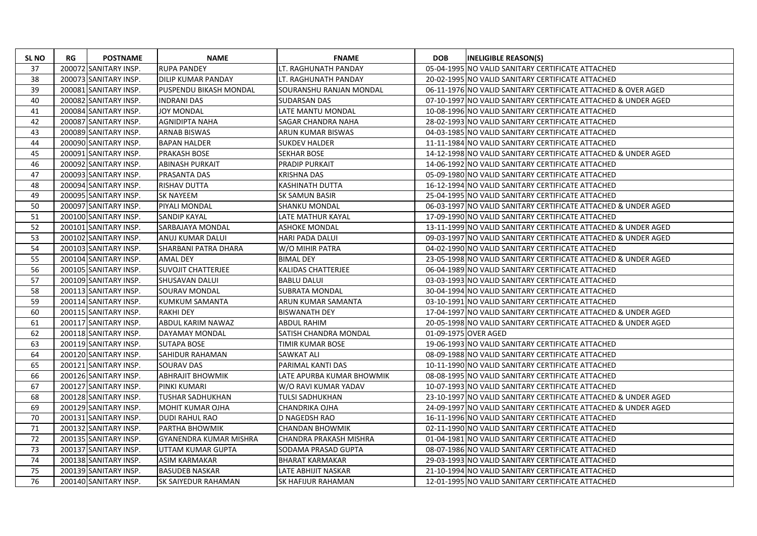| <b>SLNO</b> | RG | <b>POSTNAME</b>       | <b>NAME</b>                   | <b>FNAME</b>              | <b>DOB</b> | <b>INELIGIBLE REASON(S)</b>                                    |
|-------------|----|-----------------------|-------------------------------|---------------------------|------------|----------------------------------------------------------------|
| 37          |    | 200072 SANITARY INSP. | <b>RUPA PANDEY</b>            | LT. RAGHUNATH PANDAY      |            | 05-04-1995 NO VALID SANITARY CERTIFICATE ATTACHED              |
| 38          |    | 200073 SANITARY INSP. | <b>DILIP KUMAR PANDAY</b>     | LT. RAGHUNATH PANDAY      |            | 20-02-1995 NO VALID SANITARY CERTIFICATE ATTACHED              |
| 39          |    | 200081 SANITARY INSP. | PUSPENDU BIKASH MONDAL        | SOURANSHU RANJAN MONDAL   |            | 06-11-1976 NO VALID SANITARY CERTIFICATE ATTACHED & OVER AGED  |
| 40          |    | 200082 SANITARY INSP. | <b>INDRANI DAS</b>            | <b>SUDARSAN DAS</b>       |            | 07-10-1997 NO VALID SANITARY CERTIFICATE ATTACHED & UNDER AGED |
| 41          |    | 200084 SANITARY INSP. | <b>JOY MONDAL</b>             | LATE MANTU MONDAL         |            | 10-08-1996 NO VALID SANITARY CERTIFICATE ATTACHED              |
| 42          |    | 200087 SANITARY INSP. | AGNIDIPTA NAHA                | SAGAR CHANDRA NAHA        |            | 28-02-1993 NO VALID SANITARY CERTIFICATE ATTACHED              |
| 43          |    | 200089 SANITARY INSP. | <b>ARNAB BISWAS</b>           | ARUN KUMAR BISWAS         |            | 04-03-1985 NO VALID SANITARY CERTIFICATE ATTACHED              |
| 44          |    | 200090 SANITARY INSP. | BAPAN HALDER                  | <b>SUKDEV HALDER</b>      |            | 11-11-1984 NO VALID SANITARY CERTIFICATE ATTACHED              |
| 45          |    | 200091 SANITARY INSP. | <b>PRAKASH BOSE</b>           | <b>SEKHAR BOSE</b>        |            | 14-12-1998 NO VALID SANITARY CERTIFICATE ATTACHED & UNDER AGED |
| 46          |    | 200092 SANITARY INSP. | <b>ABINASH PURKAIT</b>        | <b>PRADIP PURKAIT</b>     |            | 14-06-1992 NO VALID SANITARY CERTIFICATE ATTACHED              |
| 47          |    | 200093 SANITARY INSP. | <b>PRASANTA DAS</b>           | <b>KRISHNA DAS</b>        |            | 05-09-1980 NO VALID SANITARY CERTIFICATE ATTACHED              |
| 48          |    | 200094 SANITARY INSP. | RISHAV DUTTA                  | KASHINATH DUTTA           |            | 16-12-1994 NO VALID SANITARY CERTIFICATE ATTACHED              |
| 49          |    | 200095 SANITARY INSP. | <b>SK NAYEEM</b>              | <b>SK SAMUN BASIR</b>     |            | 25-04-1995 NO VALID SANITARY CERTIFICATE ATTACHED              |
| 50          |    | 200097 SANITARY INSP. | PIYALI MONDAL                 | <b>SHANKU MONDAL</b>      |            | 06-03-1997 NO VALID SANITARY CERTIFICATE ATTACHED & UNDER AGED |
| 51          |    | 200100 SANITARY INSP. | <b>SANDIP KAYAL</b>           | <b>LATE MATHUR KAYAL</b>  |            | 17-09-1990 NO VALID SANITARY CERTIFICATE ATTACHED              |
| 52          |    | 200101 SANITARY INSP. | <b>SARBAJAYA MONDAL</b>       | <b>ASHOKE MONDAL</b>      |            | 13-11-1999 NO VALID SANITARY CERTIFICATE ATTACHED & UNDER AGED |
| 53          |    | 200102 SANITARY INSP. | ANUJ KUMAR DALUI              | <b>HARI PADA DALUI</b>    |            | 09-03-1997 NO VALID SANITARY CERTIFICATE ATTACHED & UNDER AGED |
| 54          |    | 200103 SANITARY INSP. | ISHARBANI PATRA DHARA         | W/O MIHIR PATRA           |            | 04-02-1990 NO VALID SANITARY CERTIFICATE ATTACHED              |
| 55          |    | 200104 SANITARY INSP. | <b>AMAL DEY</b>               | <b>BIMAL DEY</b>          |            | 23-05-1998 NO VALID SANITARY CERTIFICATE ATTACHED & UNDER AGED |
| 56          |    | 200105 SANITARY INSP. | ISUVOJIT CHATTERJEE           | <b>KALIDAS CHATTERJEE</b> |            | 06-04-1989 NO VALID SANITARY CERTIFICATE ATTACHED              |
| 57          |    | 200109 SANITARY INSP. | <b>SHUSAVAN DALUI</b>         | <b>BABLU DALUI</b>        |            | 03-03-1993 NO VALID SANITARY CERTIFICATE ATTACHED              |
| 58          |    | 200113 SANITARY INSP. | SOURAV MONDAL                 | <b>SUBRATA MONDAL</b>     |            | 30-04-1994 NO VALID SANITARY CERTIFICATE ATTACHED              |
| 59          |    | 200114 SANITARY INSP. | IKUMKUM SAMANTA               | ARUN KUMAR SAMANTA        |            | 03-10-1991 NO VALID SANITARY CERTIFICATE ATTACHED              |
| 60          |    | 200115 SANITARY INSP. | <b>RAKHI DEY</b>              | <b>BISWANATH DEY</b>      |            | 17-04-1997 NO VALID SANITARY CERTIFICATE ATTACHED & UNDER AGED |
| 61          |    | 200117 SANITARY INSP. | <b>ABDUL KARIM NAWAZ</b>      | <b>ABDUL RAHIM</b>        |            | 20-05-1998 NO VALID SANITARY CERTIFICATE ATTACHED & UNDER AGED |
| 62          |    | 200118 SANITARY INSP. | DAYAMAY MONDAL                | SATISH CHANDRA MONDAL     |            | 01-09-1975 OVER AGED                                           |
| 63          |    | 200119 SANITARY INSP. | <b>SUTAPA BOSE</b>            | TIMIR KUMAR BOSE          |            | 19-06-1993 NO VALID SANITARY CERTIFICATE ATTACHED              |
| 64          |    | 200120 SANITARY INSP. | ISAHIDUR RAHAMAN              | <b>SAWKAT ALI</b>         |            | 08-09-1988 NO VALID SANITARY CERTIFICATE ATTACHED              |
| 65          |    | 200121 SANITARY INSP. | <b>SOURAV DAS</b>             | PARIMAL KANTI DAS         |            | 10-11-1990 NO VALID SANITARY CERTIFICATE ATTACHED              |
| 66          |    | 200126 SANITARY INSP. | <b>ABHRAJIT BHOWMIK</b>       | LATE APURBA KUMAR BHOWMIK |            | 08-08-1995 NO VALID SANITARY CERTIFICATE ATTACHED              |
| 67          |    | 200127 SANITARY INSP. | PINKI KUMARI                  | W/O RAVI KUMAR YADAV      |            | 10-07-1993 NO VALID SANITARY CERTIFICATE ATTACHED              |
| 68          |    | 200128 SANITARY INSP. | TUSHAR SADHUKHAN              | TULSI SADHUKHAN           |            | 23-10-1997 NO VALID SANITARY CERTIFICATE ATTACHED & UNDER AGED |
| 69          |    | 200129 SANITARY INSP. | İMOHIT KUMAR OJHA             | CHANDRIKA OJHA            |            | 24-09-1997 NO VALID SANITARY CERTIFICATE ATTACHED & UNDER AGED |
| 70          |    | 200131 SANITARY INSP. | DUDI RAHUL RAO                | D NAGEDSH RAO             |            | 16-11-1996 NO VALID SANITARY CERTIFICATE ATTACHED              |
| 71          |    | 200132 SANITARY INSP. | PARTHA BHOWMIK                | CHANDAN BHOWMIK           |            | 02-11-1990 NO VALID SANITARY CERTIFICATE ATTACHED              |
| 72          |    | 200135 SANITARY INSP. | <b>GYANENDRA KUMAR MISHRA</b> | CHANDRA PRAKASH MISHRA    |            | 01-04-1981 NO VALID SANITARY CERTIFICATE ATTACHED              |
| 73          |    | 200137 SANITARY INSP. | UTTAM KUMAR GUPTA             | SODAMA PRASAD GUPTA       |            | 08-07-1986 NO VALID SANITARY CERTIFICATE ATTACHED              |
| 74          |    | 200138 SANITARY INSP. | <b>ASIM KARMAKAR</b>          | <b>BHARAT KARMAKAR</b>    |            | 29-03-1993 NO VALID SANITARY CERTIFICATE ATTACHED              |
| 75          |    | 200139 SANITARY INSP. | <b>BASUDEB NASKAR</b>         | LATE ABHIJIT NASKAR       |            | 21-10-1994 NO VALID SANITARY CERTIFICATE ATTACHED              |
| 76          |    | 200140 SANITARY INSP. | ISK SAIYEDUR RAHAMAN          | ISK HAFIJUR RAHAMAN       |            | 12-01-1995 NO VALID SANITARY CERTIFICATE ATTACHED              |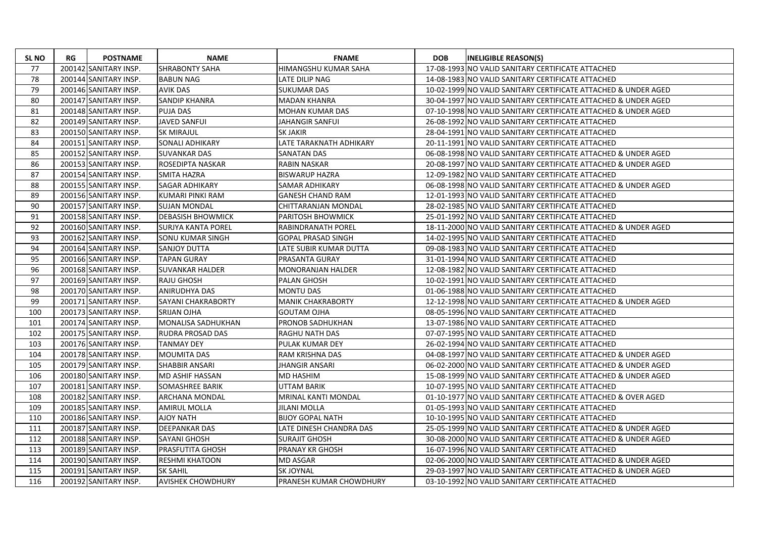| <b>SL NO</b> | RG | <b>POSTNAME</b>       | <b>NAME</b>               | <b>FNAME</b>               | <b>DOB</b> | <b>INELIGIBLE REASON(S)</b>                                    |
|--------------|----|-----------------------|---------------------------|----------------------------|------------|----------------------------------------------------------------|
| 77           |    | 200142 SANITARY INSP. | <b>SHRABONTY SAHA</b>     | HIMANGSHU KUMAR SAHA       |            | 17-08-1993 NO VALID SANITARY CERTIFICATE ATTACHED              |
| 78           |    | 200144 SANITARY INSP. | <b>BABUN NAG</b>          | LATE DILIP NAG             |            | 14-08-1983 NO VALID SANITARY CERTIFICATE ATTACHED              |
| 79           |    | 200146 SANITARY INSP. | <b>AVIK DAS</b>           | <b>SUKUMAR DAS</b>         |            | 10-02-1999 NO VALID SANITARY CERTIFICATE ATTACHED & UNDER AGED |
| 80           |    | 200147 SANITARY INSP. | <b>SANDIP KHANRA</b>      | <b>MADAN KHANRA</b>        |            | 30-04-1997 NO VALID SANITARY CERTIFICATE ATTACHED & UNDER AGED |
| 81           |    | 200148 SANITARY INSP. | <b>PUJA DAS</b>           | <b>MOHAN KUMAR DAS</b>     |            | 07-10-1998 NO VALID SANITARY CERTIFICATE ATTACHED & UNDER AGED |
| 82           |    | 200149 SANITARY INSP. | <b>JAVED SANFUI</b>       | <b>JAHANGIR SANFUI</b>     |            | 26-08-1992 NO VALID SANITARY CERTIFICATE ATTACHED              |
| 83           |    | 200150 SANITARY INSP. | <b>SK MIRAJUL</b>         | <b>SK JAKIR</b>            |            | 28-04-1991 NO VALID SANITARY CERTIFICATE ATTACHED              |
| 84           |    | 200151 SANITARY INSP. | SONALI ADHIKARY           | LATE TARAKNATH ADHIKARY    |            | 20-11-1991 NO VALID SANITARY CERTIFICATE ATTACHED              |
| 85           |    | 200152 SANITARY INSP. | <b>SUVANKAR DAS</b>       | <b>SANATAN DAS</b>         |            | 06-08-1998 NO VALID SANITARY CERTIFICATE ATTACHED & UNDER AGED |
| 86           |    | 200153 SANITARY INSP. | ROSEDIPTA NASKAR          | <b>RABIN NASKAR</b>        |            | 20-08-1997 NO VALID SANITARY CERTIFICATE ATTACHED & UNDER AGED |
| 87           |    | 200154 SANITARY INSP. | <b>SMITA HAZRA</b>        | <b>BISWARUP HAZRA</b>      |            | 12-09-1982 NO VALID SANITARY CERTIFICATE ATTACHED              |
| 88           |    | 200155 SANITARY INSP. | <b>SAGAR ADHIKARY</b>     | SAMAR ADHIKARY             |            | 06-08-1998 NO VALID SANITARY CERTIFICATE ATTACHED & UNDER AGED |
| 89           |    | 200156 SANITARY INSP. | KUMARI PINKI RAM          | <b>GANESH CHAND RAM</b>    |            | 12-01-1993 NO VALID SANITARY CERTIFICATE ATTACHED              |
| 90           |    | 200157 SANITARY INSP. | <b>SUJAN MONDAL</b>       | CHITTARANJAN MONDAL        |            | 28-02-1985 NO VALID SANITARY CERTIFICATE ATTACHED              |
| 91           |    | 200158 SANITARY INSP. | <b>DEBASISH BHOWMICK</b>  | <b>PARITOSH BHOWMICK</b>   |            | 25-01-1992 NO VALID SANITARY CERTIFICATE ATTACHED              |
| 92           |    | 200160 SANITARY INSP. | ISURJYA KANTA POREL       | <b>RABINDRANATH POREL</b>  |            | 18-11-2000 NO VALID SANITARY CERTIFICATE ATTACHED & UNDER AGED |
| 93           |    | 200162 SANITARY INSP. | <b>SONU KUMAR SINGH</b>   | <b>GOPAL PRASAD SINGH</b>  |            | 14-02-1995 NO VALID SANITARY CERTIFICATE ATTACHED              |
| 94           |    | 200164 SANITARY INSP. | <b>SANJOY DUTTA</b>       | LATE SUBIR KUMAR DUTTA     |            | 09-08-1983 NO VALID SANITARY CERTIFICATE ATTACHED              |
| 95           |    | 200166 SANITARY INSP. | <b>TAPAN GURAY</b>        | <b>PRASANTA GURAY</b>      |            | 31-01-1994 NO VALID SANITARY CERTIFICATE ATTACHED              |
| 96           |    | 200168 SANITARY INSP. | <b>SUVANKAR HALDER</b>    | <b>MONORANJAN HALDER</b>   |            | 12-08-1982 NO VALID SANITARY CERTIFICATE ATTACHED              |
| 97           |    | 200169 SANITARY INSP. | <b>RAJU GHOSH</b>         | <b>PALAN GHOSH</b>         |            | 10-02-1991 NO VALID SANITARY CERTIFICATE ATTACHED              |
| 98           |    | 200170 SANITARY INSP. | <b>ANIRUDHYA DAS</b>      | <b>MONTU DAS</b>           |            | 01-06-1988 NO VALID SANITARY CERTIFICATE ATTACHED              |
| 99           |    | 200171 SANITARY INSP. | <b>SAYANI CHAKRABORTY</b> | <b>MANIK CHAKRABORTY</b>   |            | 12-12-1998 NO VALID SANITARY CERTIFICATE ATTACHED & UNDER AGED |
| 100          |    | 200173 SANITARY INSP. | <b>SRIJAN OJHA</b>        | <b>GOUTAM OJHA</b>         |            | 08-05-1996 NO VALID SANITARY CERTIFICATE ATTACHED              |
| 101          |    | 200174 SANITARY INSP. | <b>MONALISA SADHUKHAN</b> | PRONOB SADHUKHAN           |            | 13-07-1986 NO VALID SANITARY CERTIFICATE ATTACHED              |
| 102          |    | 200175 SANITARY INSP. | <b>RUDRA PROSAD DAS</b>   | <b>RAGHU NATH DAS</b>      |            | 07-07-1995 NO VALID SANITARY CERTIFICATE ATTACHED              |
| 103          |    | 200176 SANITARY INSP. | <b>TANMAY DEY</b>         | PULAK KUMAR DEY            |            | 26-02-1994 NO VALID SANITARY CERTIFICATE ATTACHED              |
| 104          |    | 200178 SANITARY INSP. | MOUMITA DAS               | <b>RAM KRISHNA DAS</b>     |            | 04-08-1997 NO VALID SANITARY CERTIFICATE ATTACHED & UNDER AGED |
| 105          |    | 200179 SANITARY INSP. | <b>SHABBIR ANSARI</b>     | <b>JHANGIR ANSARI</b>      |            | 06-02-2000 NO VALID SANITARY CERTIFICATE ATTACHED & UNDER AGED |
| 106          |    | 200180 SANITARY INSP. | <b>MD ASHIF HASSAN</b>    | <b>MD HASHIM</b>           |            | 15-08-1999 NO VALID SANITARY CERTIFICATE ATTACHED & UNDER AGED |
| 107          |    | 200181 SANITARY INSP. | <b>SOMASHREE BARIK</b>    | UTTAM BARIK                |            | 10-07-1995 NO VALID SANITARY CERTIFICATE ATTACHED              |
| 108          |    | 200182 SANITARY INSP. | <b>ARCHANA MONDAL</b>     | <b>MRINAL KANTI MONDAL</b> |            | 01-10-1977 NO VALID SANITARY CERTIFICATE ATTACHED & OVER AGED  |
| 109          |    | 200185 SANITARY INSP. | <b>AMIRUL MOLLA</b>       | <b>JILANI MOLLA</b>        |            | 01-05-1993 NO VALID SANITARY CERTIFICATE ATTACHED              |
| 110          |    | 200186 SANITARY INSP. | <b>AJOY NATH</b>          | <b>BIJOY GOPAL NATH</b>    |            | 10-10-1995 NO VALID SANITARY CERTIFICATE ATTACHED              |
| 111          |    | 200187 SANITARY INSP. | <b>DEEPANKAR DAS</b>      | LATE DINESH CHANDRA DAS    |            | 25-05-1999 NO VALID SANITARY CERTIFICATE ATTACHED & UNDER AGED |
| 112          |    | 200188 SANITARY INSP. | <b>SAYANI GHOSH</b>       | <b>SURAJIT GHOSH</b>       |            | 30-08-2000 NO VALID SANITARY CERTIFICATE ATTACHED & UNDER AGED |
| 113          |    | 200189 SANITARY INSP. | <b>PRASFUTITA GHOSH</b>   | <b>PRANAY KR GHOSH</b>     |            | 16-07-1996 NO VALID SANITARY CERTIFICATE ATTACHED              |
| 114          |    | 200190 SANITARY INSP. | <b>RESHMI KHATOON</b>     | <b>MD ASGAR</b>            |            | 02-06-2000 NO VALID SANITARY CERTIFICATE ATTACHED & UNDER AGED |
| 115          |    | 200191 SANITARY INSP. | <b>SK SAHIL</b>           | <b>SK JOYNAL</b>           |            | 29-03-1997 NO VALID SANITARY CERTIFICATE ATTACHED & UNDER AGED |
| 116          |    | 200192 SANITARY INSP. | <b>AVISHEK CHOWDHURY</b>  | PRANESH KUMAR CHOWDHURY    |            | 03-10-1992 NO VALID SANITARY CERTIFICATE ATTACHED              |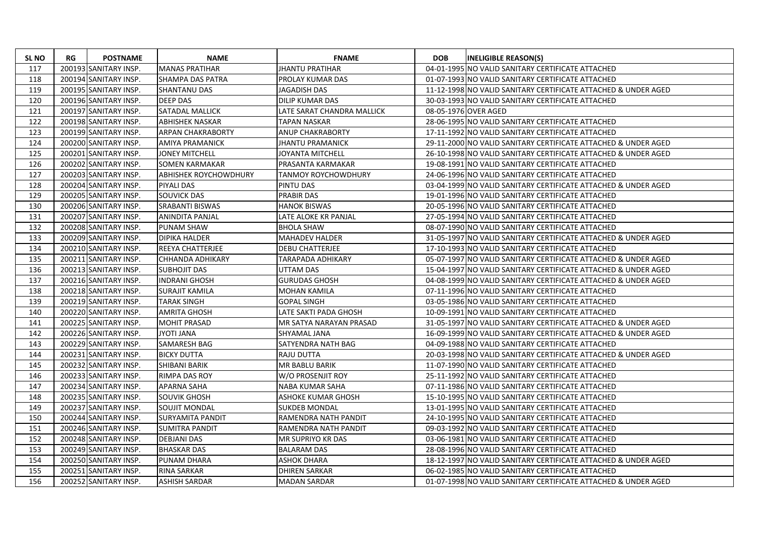| <b>SL NO</b> | RG | <b>POSTNAME</b>       | <b>NAME</b>                  | <b>FNAME</b>               | <b>DOB</b> | <b>INELIGIBLE REASON(S)</b>                                    |
|--------------|----|-----------------------|------------------------------|----------------------------|------------|----------------------------------------------------------------|
| 117          |    | 200193 SANITARY INSP. | <b>MANAS PRATIHAR</b>        | <b>JHANTU PRATIHAR</b>     |            | 04-01-1995 NO VALID SANITARY CERTIFICATE ATTACHED              |
| 118          |    | 200194 SANITARY INSP. | SHAMPA DAS PATRA             | PROLAY KUMAR DAS           |            | 01-07-1993 NO VALID SANITARY CERTIFICATE ATTACHED              |
| 119          |    | 200195 SANITARY INSP. | <b>SHANTANU DAS</b>          | <b>JAGADISH DAS</b>        |            | 11-12-1998 NO VALID SANITARY CERTIFICATE ATTACHED & UNDER AGED |
| 120          |    | 200196 SANITARY INSP. | <b>DEEP DAS</b>              | DILIP KUMAR DAS            |            | 30-03-1993 NO VALID SANITARY CERTIFICATE ATTACHED              |
| 121          |    | 200197 SANITARY INSP. | <b>SATADAL MALLICK</b>       | LATE SARAT CHANDRA MALLICK |            | 08-05-1976 OVER AGED                                           |
| 122          |    | 200198 SANITARY INSP. | <b>ABHISHEK NASKAR</b>       | TAPAN NASKAR               |            | 28-06-1995 NO VALID SANITARY CERTIFICATE ATTACHED              |
| 123          |    | 200199 SANITARY INSP. | <b>ARPAN CHAKRABORTY</b>     | <b>ANUP CHAKRABORTY</b>    |            | 17-11-1992 NO VALID SANITARY CERTIFICATE ATTACHED              |
| 124          |    | 200200 SANITARY INSP. | <b>AMIYA PRAMANICK</b>       | <b>JHANTU PRAMANICK</b>    |            | 29-11-2000 NO VALID SANITARY CERTIFICATE ATTACHED & UNDER AGED |
| 125          |    | 200201 SANITARY INSP. | <b>JONEY MITCHELL</b>        | JOYANTA MITCHELL           |            | 26-10-1998 NO VALID SANITARY CERTIFICATE ATTACHED & UNDER AGED |
| 126          |    | 200202 SANITARY INSP. | <b>SOMEN KARMAKAR</b>        | PRASANTA KARMAKAR          |            | 19-08-1991 NO VALID SANITARY CERTIFICATE ATTACHED              |
| 127          |    | 200203 SANITARY INSP. | <b>ABHISHEK ROYCHOWDHURY</b> | <b>TANMOY ROYCHOWDHURY</b> |            | 24-06-1996 NO VALID SANITARY CERTIFICATE ATTACHED              |
| 128          |    | 200204 SANITARY INSP. | <b>PIYALI DAS</b>            | PINTU DAS                  |            | 03-04-1999 NO VALID SANITARY CERTIFICATE ATTACHED & UNDER AGED |
| 129          |    | 200205 SANITARY INSP. | SOUVICK DAS                  | <b>PRABIR DAS</b>          |            | 19-01-1996 NO VALID SANITARY CERTIFICATE ATTACHED              |
| 130          |    | 200206 SANITARY INSP. | <b>SRABANTI BISWAS</b>       | <b>HANOK BISWAS</b>        |            | 20-05-1996 NO VALID SANITARY CERTIFICATE ATTACHED              |
| 131          |    | 200207 SANITARY INSP. | <b>ANINDITA PANJAL</b>       | LATE ALOKE KR PANJAL       |            | 27-05-1994 NO VALID SANITARY CERTIFICATE ATTACHED              |
| 132          |    | 200208 SANITARY INSP. | <b>PUNAM SHAW</b>            | <b>BHOLA SHAW</b>          |            | 08-07-1990 NO VALID SANITARY CERTIFICATE ATTACHED              |
| 133          |    | 200209 SANITARY INSP. | <b>DIPIKA HALDER</b>         | <b>MAHADEV HALDER</b>      |            | 31-05-1997 NO VALID SANITARY CERTIFICATE ATTACHED & UNDER AGED |
| 134          |    | 200210 SANITARY INSP. | REEYA CHATTERJEE             | <b>DEBU CHATTERJEE</b>     |            | 17-10-1993 NO VALID SANITARY CERTIFICATE ATTACHED              |
| 135          |    | 200211 SANITARY INSP. | CHHANDA ADHIKARY             | TARAPADA ADHIKARY          |            | 05-07-1997 NO VALID SANITARY CERTIFICATE ATTACHED & UNDER AGED |
| 136          |    | 200213 SANITARY INSP. | <b>SUBHOJIT DAS</b>          | UTTAM DAS                  |            | 15-04-1997 NO VALID SANITARY CERTIFICATE ATTACHED & UNDER AGED |
| 137          |    | 200216 SANITARY INSP. | <b>INDRANI GHOSH</b>         | <b>GURUDAS GHOSH</b>       |            | 04-08-1999 NO VALID SANITARY CERTIFICATE ATTACHED & UNDER AGED |
| 138          |    | 200218 SANITARY INSP. | <b>SURAJIT KAMILA</b>        | <b>MOHAN KAMILA</b>        |            | 07-11-1996 NO VALID SANITARY CERTIFICATE ATTACHED              |
| 139          |    | 200219 SANITARY INSP. | TARAK SINGH                  | GOPAL SINGH                |            | 03-05-1986 NO VALID SANITARY CERTIFICATE ATTACHED              |
| 140          |    | 200220 SANITARY INSP. | <b>AMRITA GHOSH</b>          | LATE SAKTI PADA GHOSH      |            | 10-09-1991 NO VALID SANITARY CERTIFICATE ATTACHED              |
| 141          |    | 200225 SANITARY INSP. | <b>MOHIT PRASAD</b>          | MR SATYA NARAYAN PRASAD    |            | 31-05-1997 NO VALID SANITARY CERTIFICATE ATTACHED & UNDER AGED |
| 142          |    | 200226 SANITARY INSP. | <b>JYOTI JANA</b>            | SHYAMAL JANA               |            | 16-09-1999 NO VALID SANITARY CERTIFICATE ATTACHED & UNDER AGED |
| 143          |    | 200229 SANITARY INSP. | <b>SAMARESH BAG</b>          | SATYENDRA NATH BAG         |            | 04-09-1988 NO VALID SANITARY CERTIFICATE ATTACHED              |
| 144          |    | 200231 SANITARY INSP. | <b>BICKY DUTTA</b>           | RAJU DUTTA                 |            | 20-03-1998 NO VALID SANITARY CERTIFICATE ATTACHED & UNDER AGED |
| 145          |    | 200232 SANITARY INSP. | SHIBANI BARIK                | MR BABLU BARIK             |            | 11-07-1990 NO VALID SANITARY CERTIFICATE ATTACHED              |
| 146          |    | 200233 SANITARY INSP. | RIMPA DAS ROY                | W/O PROSENJIT ROY          |            | 25-11-1992 NO VALID SANITARY CERTIFICATE ATTACHED              |
| 147          |    | 200234 SANITARY INSP. | <b>APARNA SAHA</b>           | NABA KUMAR SAHA            |            | 07-11-1986 NO VALID SANITARY CERTIFICATE ATTACHED              |
| 148          |    | 200235 SANITARY INSP. | <b>SOUVIK GHOSH</b>          | <b>ASHOKE KUMAR GHOSH</b>  |            | 15-10-1995 NO VALID SANITARY CERTIFICATE ATTACHED              |
| 149          |    | 200237 SANITARY INSP. | <b>SOUJIT MONDAL</b>         | <b>SUKDEB MONDAL</b>       |            | 13-01-1995 NO VALID SANITARY CERTIFICATE ATTACHED              |
| 150          |    | 200244 SANITARY INSP. | <b>SURYAMITA PANDIT</b>      | RAMENDRA NATH PANDIT       |            | 24-10-1995 NO VALID SANITARY CERTIFICATE ATTACHED              |
| 151          |    | 200246 SANITARY INSP. | <b>SUMITRA PANDIT</b>        | RAMENDRA NATH PANDIT       |            | 09-03-1992 NO VALID SANITARY CERTIFICATE ATTACHED              |
| 152          |    | 200248 SANITARY INSP. | <b>DEBJANI DAS</b>           | <b>MR SUPRIYO KR DAS</b>   |            | 03-06-1981 NO VALID SANITARY CERTIFICATE ATTACHED              |
| 153          |    | 200249 SANITARY INSP. | <b>BHASKAR DAS</b>           | <b>BALARAM DAS</b>         |            | 28-08-1996 NO VALID SANITARY CERTIFICATE ATTACHED              |
| 154          |    | 200250 SANITARY INSP. | PUNAM DHARA                  | <b>ASHOK DHARA</b>         |            | 18-12-1997 NO VALID SANITARY CERTIFICATE ATTACHED & UNDER AGED |
| 155          |    | 200251 SANITARY INSP. | RINA SARKAR                  | DHIREN SARKAR              |            | 06-02-1985 NO VALID SANITARY CERTIFICATE ATTACHED              |
| 156          |    | 200252 SANITARY INSP. | <b>ASHISH SARDAR</b>         | <b>MADAN SARDAR</b>        |            | 01-07-1998 NO VALID SANITARY CERTIFICATE ATTACHED & UNDER AGED |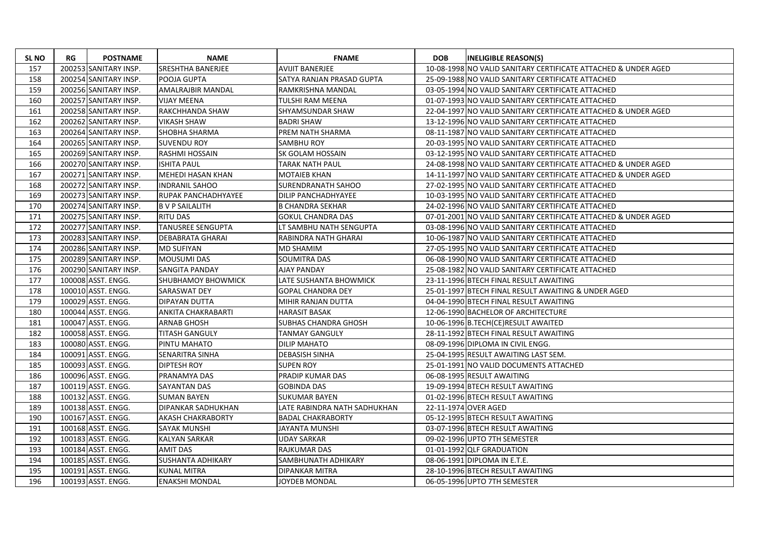| <b>SL NO</b> | RG | <b>POSTNAME</b>       | <b>NAME</b>               | <b>FNAME</b>                 | <b>DOB</b> | <b>INELIGIBLE REASON(S)</b>                                    |
|--------------|----|-----------------------|---------------------------|------------------------------|------------|----------------------------------------------------------------|
| 157          |    | 200253 SANITARY INSP. | <b>SRESHTHA BANERJEE</b>  | <b>AVIJIT BANERJEE</b>       |            | 10-08-1998 NO VALID SANITARY CERTIFICATE ATTACHED & UNDER AGED |
| 158          |    | 200254 SANITARY INSP. | POOJA GUPTA               | SATYA RANJAN PRASAD GUPTA    |            | 25-09-1988 NO VALID SANITARY CERTIFICATE ATTACHED              |
| 159          |    | 200256 SANITARY INSP. | AMALRAJBIR MANDAL         | RAMKRISHNA MANDAL            |            | 03-05-1994 NO VALID SANITARY CERTIFICATE ATTACHED              |
| 160          |    | 200257 SANITARY INSP. | <b>VIJAY MEENA</b>        | <b>TULSHI RAM MEENA</b>      |            | 01-07-1993 NO VALID SANITARY CERTIFICATE ATTACHED              |
| 161          |    | 200258 SANITARY INSP. | RAKCHHANDA SHAW           | SHYAMSUNDAR SHAW             |            | 22-04-1997 NO VALID SANITARY CERTIFICATE ATTACHED & UNDER AGED |
| 162          |    | 200262 SANITARY INSP. | <b>VIKASH SHAW</b>        | <b>BADRI SHAW</b>            |            | 13-12-1996 NO VALID SANITARY CERTIFICATE ATTACHED              |
| 163          |    | 200264 SANITARY INSP. | <b>SHOBHA SHARMA</b>      | PREM NATH SHARMA             |            | 08-11-1987 NO VALID SANITARY CERTIFICATE ATTACHED              |
| 164          |    | 200265 SANITARY INSP. | <b>SUVENDU ROY</b>        | SAMBHU ROY                   |            | 20-03-1995 NO VALID SANITARY CERTIFICATE ATTACHED              |
| 165          |    | 200269 SANITARY INSP. | RASHMI HOSSAIN            | SK GOLAM HOSSAIN             |            | 03-12-1995 NO VALID SANITARY CERTIFICATE ATTACHED              |
| 166          |    | 200270 SANITARY INSP. | <b>ISHITA PAUL</b>        | <b>TARAK NATH PAUL</b>       |            | 24-08-1998 NO VALID SANITARY CERTIFICATE ATTACHED & UNDER AGED |
| 167          |    | 200271 SANITARY INSP. | <b>MEHEDI HASAN KHAN</b>  | <b>MOTAIEB KHAN</b>          |            | 14-11-1997 NO VALID SANITARY CERTIFICATE ATTACHED & UNDER AGED |
| 168          |    | 200272 SANITARY INSP. | <b>INDRANIL SAHOO</b>     | SURENDRANATH SAHOO           |            | 27-02-1995 NO VALID SANITARY CERTIFICATE ATTACHED              |
| 169          |    | 200273 SANITARY INSP. | RUPAK PANCHADHYAYEE       | DILIP PANCHADHYAYEE          |            | 10-03-1995 NO VALID SANITARY CERTIFICATE ATTACHED              |
| 170          |    | 200274 SANITARY INSP. | <b>B V P SAILALITH</b>    | <b>B CHANDRA SEKHAR</b>      |            | 24-02-1996 NO VALID SANITARY CERTIFICATE ATTACHED              |
| 171          |    | 200275 SANITARY INSP. | <b>RITU DAS</b>           | <b>GOKUL CHANDRA DAS</b>     |            | 07-01-2001 NO VALID SANITARY CERTIFICATE ATTACHED & UNDER AGED |
| 172          |    | 200277 SANITARY INSP. | <b>TANUSREE SENGUPTA</b>  | LT SAMBHU NATH SENGUPTA      |            | 03-08-1996 NO VALID SANITARY CERTIFICATE ATTACHED              |
| 173          |    | 200283 SANITARY INSP. | <b>DEBABRATA GHARAI</b>   | RABINDRA NATH GHARAI         |            | 10-06-1987 INO VALID SANITARY CERTIFICATE ATTACHED             |
| 174          |    | 200286 SANITARY INSP. | <b>MD SUFIYAN</b>         | MD SHAMIM                    |            | 27-05-1995 NO VALID SANITARY CERTIFICATE ATTACHED              |
| 175          |    | 200289 SANITARY INSP. | <b>MOUSUMI DAS</b>        | SOUMITRA DAS                 |            | 06-08-1990 NO VALID SANITARY CERTIFICATE ATTACHED              |
| 176          |    | 200290 SANITARY INSP. | <b>SANGITA PANDAY</b>     | <b>AJAY PANDAY</b>           |            | 25-08-1982 NO VALID SANITARY CERTIFICATE ATTACHED              |
| 177          |    | 100008 ASST. ENGG.    | <b>SHUBHAMOY BHOWMICK</b> | LATE SUSHANTA BHOWMICK       |            | 23-11-1996 BTECH FINAL RESULT AWAITING                         |
| 178          |    | 100010 ASST. ENGG.    | SARASWAT DEY              | <b>GOPAL CHANDRA DEY</b>     |            | 25-01-1997 BTECH FINAL RESULT AWAITING & UNDER AGED            |
| 179          |    | 100029 ASST. ENGG.    | DIPAYAN DUTTA             | MIHIR RANJAN DUTTA           |            | 04-04-1990 BTECH FINAL RESULT AWAITING                         |
| 180          |    | 100044 ASST. ENGG.    | <b>ANKITA CHAKRABARTI</b> | <b>HARASIT BASAK</b>         |            | 12-06-1990 BACHELOR OF ARCHITECTURE                            |
| 181          |    | 100047 ASST. ENGG.    | <b>ARNAB GHOSH</b>        | <b>SUBHAS CHANDRA GHOSH</b>  |            | 10-06-1996 B.TECH(CE)RESULT AWAITED                            |
| 182          |    | 100058 ASST. ENGG.    | <b>TITASH GANGULY</b>     | <b>TANMAY GANGULY</b>        |            | 28-11-1992 BTECH FINAL RESULT AWAITING                         |
| 183          |    | 100080 ASST. ENGG.    | PINTU MAHATO              | <b>DILIP MAHATO</b>          |            | 08-09-1996 DIPLOMA IN CIVIL ENGG.                              |
| 184          |    | 100091 ASST. ENGG.    | <b>SENARITRA SINHA</b>    | DEBASISH SINHA               |            | 25-04-1995 RESULT AWAITING LAST SEM.                           |
| 185          |    | 100093 ASST. ENGG.    | <b>DIPTESH ROY</b>        | <b>SUPEN ROY</b>             |            | 25-01-1991 NO VALID DOCUMENTS ATTACHED                         |
| 186          |    | 100096 ASST. ENGG.    | PRANAMYA DAS              | PRADIP KUMAR DAS             |            | 06-08-1995 RESULT AWAITING                                     |
| 187          |    | 100119 ASST. ENGG.    | <b>SAYANTAN DAS</b>       | <b>GOBINDA DAS</b>           |            | 19-09-1994 BTECH RESULT AWAITING                               |
| 188          |    | 100132 ASST. ENGG.    | <b>SUMAN BAYEN</b>        | <b>SUKUMAR BAYEN</b>         |            | 01-02-1996 BTECH RESULT AWAITING                               |
| 189          |    | 100138 ASST. ENGG.    | DIPANKAR SADHUKHAN        | LATE RABINDRA NATH SADHUKHAN |            | 22-11-1974 OVER AGED                                           |
| 190          |    | 100167 ASST. ENGG.    | AKASH CHAKRABORTY         | <b>BADAL CHAKRABORTY</b>     |            | 05-12-1995 BTECH RESULT AWAITING                               |
| 191          |    | 100168 ASST. ENGG.    | <b>SAYAK MUNSHI</b>       | JAYANTA MUNSHI               |            | 03-07-1996 BTECH RESULT AWAITING                               |
| 192          |    | 100183 ASST. ENGG.    | <b>KALYAN SARKAR</b>      | <b>UDAY SARKAR</b>           |            | 09-02-1996 UPTO 7TH SEMESTER                                   |
| 193          |    | 100184 ASST. ENGG.    | <b>AMIT DAS</b>           | <b>RAJKUMAR DAS</b>          |            | 01-01-1992 QLF GRADUATION                                      |
| 194          |    | 100185 ASST. ENGG.    | <b>SUSHANTA ADHIKARY</b>  | SAMBHUNATH ADHIKARY          |            | 08-06-1991 DIPLOMA IN E.T.E.                                   |
| 195          |    | 100191 ASST. ENGG.    | <b>KUNAL MITRA</b>        | DIPANKAR MITRA               |            | 28-10-1996 BTECH RESULT AWAITING                               |
| 196          |    | 100193 ASST. ENGG.    | <b>ENAKSHI MONDAL</b>     | JOYDEB MONDAL                |            | 06-05-1996 UPTO 7TH SEMESTER                                   |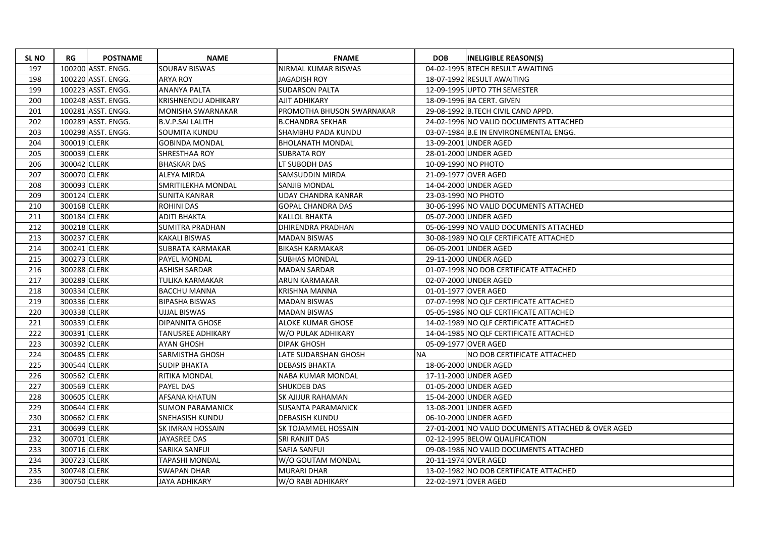| <b>SL NO</b> | RG           | <b>POSTNAME</b>    | <b>NAME</b>                | <b>FNAME</b>              | <b>DOB</b>          | <b>INELIGIBLE REASON(S)</b>                        |
|--------------|--------------|--------------------|----------------------------|---------------------------|---------------------|----------------------------------------------------|
| 197          |              | 100200 ASST. ENGG. | <b>SOURAV BISWAS</b>       | NIRMAL KUMAR BISWAS       |                     | 04-02-1995 BTECH RESULT AWAITING                   |
| 198          |              | 100220 ASST. ENGG. | <b>ARYA ROY</b>            | <b>JAGADISH ROY</b>       |                     | 18-07-1992 RESULT AWAITING                         |
| 199          |              | 100223 ASST. ENGG. | ANANYA PALTA               | <b>SUDARSON PALTA</b>     |                     | 12-09-1995 UPTO 7TH SEMESTER                       |
| 200          |              | 100248 ASST. ENGG. | <b>KRISHNENDU ADHIKARY</b> | AJIT ADHIKARY             |                     | 18-09-1996 BA CERT. GIVEN                          |
| 201          |              | 100281 ASST. ENGG. | <b>MONISHA SWARNAKAR</b>   | PROMOTHA BHUSON SWARNAKAR |                     | 29-08-1992 B.TECH CIVIL CAND APPD.                 |
| 202          |              | 100289 ASST. ENGG. | <b>B.V.P.SAI LALITH</b>    | <b>B.CHANDRA SEKHAR</b>   |                     | 24-02-1996 NO VALID DOCUMENTS ATTACHED             |
| 203          |              | 100298 ASST. ENGG. | <b>SOUMITA KUNDU</b>       | SHAMBHU PADA KUNDU        |                     | 03-07-1984 B.E IN ENVIRONEMENTAL ENGG.             |
| 204          | 300019 CLERK |                    | <b>GOBINDA MONDAL</b>      | <b>BHOLANATH MONDAL</b>   |                     | 13-09-2001 UNDER AGED                              |
| 205          | 300039 CLERK |                    | <b>SHRESTHAA ROY</b>       | <b>SUBRATA ROY</b>        |                     | 28-01-2000 UNDER AGED                              |
| 206          | 300042 CLERK |                    | <b>BHASKAR DAS</b>         | LT SUBODH DAS             | 10-09-1990 NO PHOTO |                                                    |
| 207          | 300070 CLERK |                    | <b>ALEYA MIRDA</b>         | <b>SAMSUDDIN MIRDA</b>    |                     | 21-09-1977 OVER AGED                               |
| 208          | 300093 CLERK |                    | SMRITILEKHA MONDAL         | <b>SANJIB MONDAL</b>      |                     | 14-04-2000 UNDER AGED                              |
| 209          | 300124 CLERK |                    | <b>SUNITA KANRAR</b>       | UDAY CHANDRA KANRAR       | 23-03-1990 NO PHOTO |                                                    |
| 210          | 300168 CLERK |                    | <b>ROHINI DAS</b>          | <b>GOPAL CHANDRA DAS</b>  |                     | 30-06-1996 NO VALID DOCUMENTS ATTACHED             |
| 211          | 300184 CLERK |                    | <b>ADITI BHAKTA</b>        | <b>KALLOL BHAKTA</b>      |                     | 05-07-2000 UNDER AGED                              |
| 212          | 300218 CLERK |                    | <b>SUMITRA PRADHAN</b>     | <b>DHIRENDRA PRADHAN</b>  |                     | 05-06-1999 NO VALID DOCUMENTS ATTACHED             |
| 213          | 300237 CLERK |                    | <b>KAKALI BISWAS</b>       | <b>MADAN BISWAS</b>       |                     | 30-08-1989 NO QLF CERTIFICATE ATTACHED             |
| 214          | 300241 CLERK |                    | SUBRATA KARMAKAR           | <b>BIKASH KARMAKAR</b>    |                     | 06-05-2001 UNDER AGED                              |
| 215          | 300273 CLERK |                    | <b>PAYEL MONDAL</b>        | <b>SUBHAS MONDAL</b>      |                     | 29-11-2000 UNDER AGED                              |
| 216          | 300288 CLERK |                    | <b>ASHISH SARDAR</b>       | <b>MADAN SARDAR</b>       |                     | 01-07-1998 NO DOB CERTIFICATE ATTACHED             |
| 217          | 300289 CLERK |                    | TULIKA KARMAKAR            | ARUN KARMAKAR             |                     | 02-07-2000 UNDER AGED                              |
| 218          | 300334 CLERK |                    | <b>BACCHU MANNA</b>        | <b>KRISHNA MANNA</b>      |                     | 01-01-1977 OVER AGED                               |
| 219          | 300336 CLERK |                    | <b>BIPASHA BISWAS</b>      | <b>MADAN BISWAS</b>       |                     | 07-07-1998 NO QLF CERTIFICATE ATTACHED             |
| 220          | 300338 CLERK |                    | UJJAL BISWAS               | <b>MADAN BISWAS</b>       |                     | 05-05-1986 NO QLF CERTIFICATE ATTACHED             |
| 221          | 300339 CLERK |                    | <b>DIPANNITA GHOSE</b>     | ALOKE KUMAR GHOSE         |                     | 14-02-1989 NO OLF CERTIFICATE ATTACHED             |
| 222          | 300391 CLERK |                    | <b>TANUSREE ADHIKARY</b>   | W/O PULAK ADHIKARY        |                     | 14-04-1985 NO QLF CERTIFICATE ATTACHED             |
| 223          | 300392 CLERK |                    | <b>AYAN GHOSH</b>          | <b>DIPAK GHOSH</b>        |                     | 05-09-1977 OVER AGED                               |
| 224          | 300485 CLERK |                    | <b>SARMISTHA GHOSH</b>     | LATE SUDARSHAN GHOSH      | <b>NA</b>           | NO DOB CERTIFICATE ATTACHED                        |
| 225          | 300544 CLERK |                    | <b>SUDIP BHAKTA</b>        | <b>DEBASIS BHAKTA</b>     |                     | 18-06-2000 UNDER AGED                              |
| 226          | 300562 CLERK |                    | RITIKA MONDAL              | NABA KUMAR MONDAL         |                     | 17-11-2000 UNDER AGED                              |
| 227          | 300569 CLERK |                    | <b>PAYEL DAS</b>           | <b>SHUKDEB DAS</b>        |                     | 01-05-2000 UNDER AGED                              |
| 228          | 300605 CLERK |                    | <b>AFSANA KHATUN</b>       | <b>SK AJIJUR RAHAMAN</b>  |                     | 15-04-2000 UNDER AGED                              |
| 229          | 300644 CLERK |                    | <b>SUMON PARAMANICK</b>    | <b>SUSANTA PARAMANICK</b> |                     | 13-08-2001 UNDER AGED                              |
| 230          | 300662 CLERK |                    | <b>SNEHASISH KUNDU</b>     | <b>DEBASISH KUNDU</b>     |                     | 06-10-2000 UNDER AGED                              |
| 231          | 300699 CLERK |                    | <b>SK IMRAN HOSSAIN</b>    | SK TOJAMMEL HOSSAIN       |                     | 27-01-2001 NO VALID DOCUMENTS ATTACHED & OVER AGED |
| 232          | 300701 CLERK |                    | JAYASREE DAS               | <b>SRI RANJIT DAS</b>     |                     | 02-12-1995 BELOW QUALIFICATION                     |
| 233          | 300716 CLERK |                    | <b>SARIKA SANFUI</b>       | <b>SAFIA SANFUI</b>       |                     | 09-08-1986 NO VALID DOCUMENTS ATTACHED             |
| 234          | 300723 CLERK |                    | <b>TAPASHI MONDAL</b>      | W/O GOUTAM MONDAL         |                     | 20-11-1974 OVER AGED                               |
| 235          | 300748 CLERK |                    | <b>SWAPAN DHAR</b>         | <b>MURARI DHAR</b>        |                     | 13-02-1982 NO DOB CERTIFICATE ATTACHED             |
| 236          | 300750 CLERK |                    | <b>JAYA ADHIKARY</b>       | W/O RABI ADHIKARY         |                     | 22-02-1971 OVER AGED                               |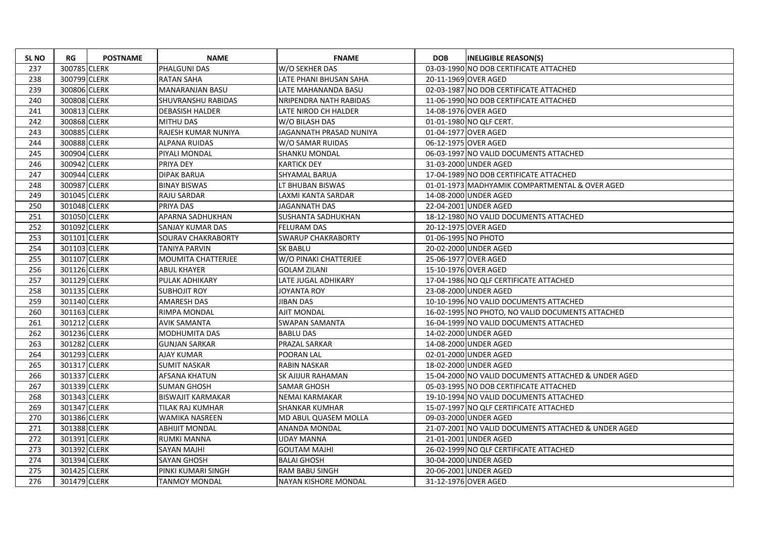| <b>SLNO</b> | RG           | <b>POSTNAME</b> | <b>NAME</b>               | <b>FNAME</b>              | <b>DOB</b>          | <b>INELIGIBLE REASON(S)</b>                         |
|-------------|--------------|-----------------|---------------------------|---------------------------|---------------------|-----------------------------------------------------|
| 237         | 300785 CLERK |                 | PHALGUNI DAS              | W/O SEKHER DAS            |                     | 03-03-1990 NO DOB CERTIFICATE ATTACHED              |
| 238         | 300799 CLERK |                 | <b>RATAN SAHA</b>         | LATE PHANI BHUSAN SAHA    |                     | 20-11-1969 OVER AGED                                |
| 239         | 300806 CLERK |                 | MANARANJAN BASU           | LATE MAHANANDA BASU       |                     | 02-03-1987 NO DOB CERTIFICATE ATTACHED              |
| 240         | 300808 CLERK |                 | <b>SHUVRANSHU RABIDAS</b> | NRIPENDRA NATH RABIDAS    |                     | 11-06-1990 NO DOB CERTIFICATE ATTACHED              |
| 241         | 300813 CLERK |                 | <b>DEBASISH HALDER</b>    | LATE NIROD CH HALDER      |                     | 14-08-1976 OVER AGED                                |
| 242         | 300868 CLERK |                 | <b>MITHU DAS</b>          | W/O BILASH DAS            |                     | 01-01-1980 NO QLF CERT.                             |
| 243         | 300885 CLERK |                 | RAJESH KUMAR NUNIYA       | JAGANNATH PRASAD NUNIYA   |                     | 01-04-1977 OVER AGED                                |
| 244         | 300888 CLERK |                 | ALPANA RUIDAS             | W/O SAMAR RUIDAS          |                     | 06-12-1975 OVER AGED                                |
| 245         | 300904 CLERK |                 | <b>PIYALI MONDAL</b>      | <b>SHANKU MONDAL</b>      |                     | 06-03-1997 NO VALID DOCUMENTS ATTACHED              |
| 246         | 300942 CLERK |                 | PRIYA DEY                 | <b>KARTICK DEY</b>        |                     | 31-03-2000 UNDER AGED                               |
| 247         | 300944 CLERK |                 | <b>DIPAK BARUA</b>        | SHYAMAL BARUA             |                     | 17-04-1989 NO DOB CERTIFICATE ATTACHED              |
| 248         | 300987 CLERK |                 | <b>BINAY BISWAS</b>       | LT BHUBAN BISWAS          |                     | 01-01-1973 MADHYAMIK COMPARTMENTAL & OVER AGED      |
| 249         | 301045 CLERK |                 | RAJU SARDAR               | LAXMI KANTA SARDAR        |                     | 14-08-2000 UNDER AGED                               |
| 250         | 301048 CLERK |                 | PRIYA DAS                 | <b>JAGANNATH DAS</b>      |                     | 22-04-2001 UNDER AGED                               |
| 251         | 301050 CLERK |                 | APARNA SADHUKHAN          | SUSHANTA SADHUKHAN        |                     | 18-12-1980 NO VALID DOCUMENTS ATTACHED              |
| 252         | 301092 CLERK |                 | <b>SANJAY KUMAR DAS</b>   | <b>FELURAM DAS</b>        |                     | 20-12-1975 OVER AGED                                |
| 253         | 301101 CLERK |                 | SOURAV CHAKRABORTY        | <b>SWARUP CHAKRABORTY</b> | 01-06-1995 NO PHOTO |                                                     |
| 254         | 301103 CLERK |                 | TANIYA PARVIN             | SK BABLU                  |                     | 20-02-2000 UNDER AGED                               |
| 255         | 301107 CLERK |                 | MOUMITA CHATTERJEE        | W/O PINAKI CHATTERJEE     |                     | 25-06-1977 OVER AGED                                |
| 256         | 301126 CLERK |                 | <b>ABUL KHAYER</b>        | <b>GOLAM ZILANI</b>       |                     | 15-10-1976 OVER AGED                                |
| 257         | 301129 CLERK |                 | PULAK ADHIKARY            | LATE JUGAL ADHIKARY       |                     | 17-04-1986 NO QLF CERTIFICATE ATTACHED              |
| 258         | 301135 CLERK |                 | <b>SUBHOJIT ROY</b>       | JOYANTA ROY               |                     | 23-08-2000 UNDER AGED                               |
| 259         | 301140 CLERK |                 | AMARESH DAS               | JIBAN DAS                 |                     | 10-10-1996 NO VALID DOCUMENTS ATTACHED              |
| 260         | 301163 CLERK |                 | RIMPA MONDAL              | AJIT MONDAL               |                     | 16-02-1995 NO PHOTO, NO VALID DOCUMENTS ATTACHED    |
| 261         | 301212 CLERK |                 | <b>AVIK SAMANTA</b>       | <b>SWAPAN SAMANTA</b>     |                     | 16-04-1999 NO VALID DOCUMENTS ATTACHED              |
| 262         | 301236 CLERK |                 | MODHUMITA DAS             | <b>BABLU DAS</b>          |                     | 14-02-2000 UNDER AGED                               |
| 263         | 301282 CLERK |                 | <b>GUNJAN SARKAR</b>      | PRAZAL SARKAR             |                     | 14-08-2000 UNDER AGED                               |
| 264         | 301293 CLERK |                 | <b>AJAY KUMAR</b>         | POORAN LAL                |                     | 02-01-2000 UNDER AGED                               |
| 265         | 301317 CLERK |                 | <b>SUMIT NASKAR</b>       | <b>RABIN NASKAR</b>       |                     | 18-02-2000 UNDER AGED                               |
| 266         | 301337 CLERK |                 | <b>AFSANA KHATUN</b>      | <b>SK AJIJUR RAHAMAN</b>  |                     | 15-04-2000 NO VALID DOCUMENTS ATTACHED & UNDER AGED |
| 267         | 301339 CLERK |                 | <b>SUMAN GHOSH</b>        | <b>SAMAR GHOSH</b>        |                     | 05-03-1995 NO DOB CERTIFICATE ATTACHED              |
| 268         | 301343 CLERK |                 | <b>BISWAJIT KARMAKAR</b>  | NEMAI KARMAKAR            |                     | 19-10-1994 NO VALID DOCUMENTS ATTACHED              |
| 269         | 301347 CLERK |                 | TILAK RAJ KUMHAR          | <b>SHANKAR KUMHAR</b>     |                     | 15-07-1997 NO QLF CERTIFICATE ATTACHED              |
| 270         | 301386 CLERK |                 | <b>WAMIKA NASREEN</b>     | MD ABUL QUASEM MOLLA      |                     | 09-03-2000 UNDER AGED                               |
| 271         | 301388 CLERK |                 | <b>ABHIJIT MONDAL</b>     | ANANDA MONDAL             |                     | 21-07-2001 NO VALID DOCUMENTS ATTACHED & UNDER AGED |
| 272         | 301391 CLERK |                 | <b>RUMKI MANNA</b>        | <b>UDAY MANNA</b>         |                     | 21-01-2001 UNDER AGED                               |
| 273         | 301392 CLERK |                 | <b>SAYAN MAJHI</b>        | <b>GOUTAM MAJHI</b>       |                     | 26-02-1999 NO QLF CERTIFICATE ATTACHED              |
| 274         | 301394 CLERK |                 | <b>SAYAN GHOSH</b>        | <b>BALAI GHOSH</b>        |                     | 30-04-2000 UNDER AGED                               |
| 275         | 301425 CLERK |                 | PINKI KUMARI SINGH        | RAM BABU SINGH            |                     | 20-06-2001 UNDER AGED                               |
| 276         | 301479 CLERK |                 | <b>TANMOY MONDAL</b>      | NAYAN KISHORE MONDAL      |                     | 31-12-1976 OVER AGED                                |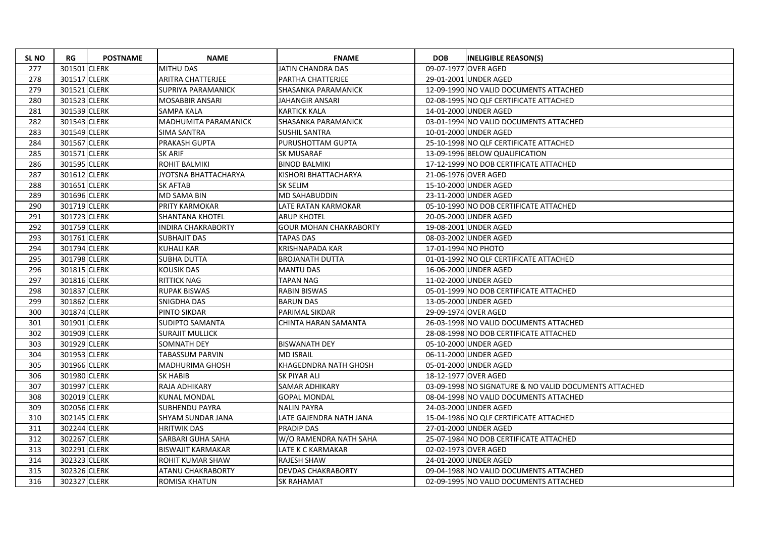| <b>SL NO</b> | RG           | <b>POSTNAME</b> | <b>NAME</b>                 | <b>FNAME</b>                  | <b>DOB</b>          | <b>INELIGIBLE REASON(S)</b>                           |
|--------------|--------------|-----------------|-----------------------------|-------------------------------|---------------------|-------------------------------------------------------|
| 277          | 301501 CLERK |                 | <b>MITHU DAS</b>            | <b>JATIN CHANDRA DAS</b>      |                     | 09-07-1977 OVER AGED                                  |
| 278          | 301517 CLERK |                 | <b>ARITRA CHATTERJEE</b>    | PARTHA CHATTERJEE             |                     | 29-01-2001 UNDER AGED                                 |
| 279          | 301521 CLERK |                 | SUPRIYA PARAMANICK          | <b>SHASANKA PARAMANICK</b>    |                     | 12-09-1990 NO VALID DOCUMENTS ATTACHED                |
| 280          | 301523 CLERK |                 | <b>MOSABBIR ANSARI</b>      | <b>JAHANGIR ANSARI</b>        |                     | 02-08-1995 NO OLF CERTIFICATE ATTACHED                |
| 281          | 301539 CLERK |                 | SAMPA KALA                  | <b>KARTICK KALA</b>           |                     | 14-01-2000 UNDER AGED                                 |
| 282          | 301543 CLERK |                 | <b>MADHUMITA PARAMANICK</b> | ISHASANKA PARAMANICK          |                     | 03-01-1994 NO VALID DOCUMENTS ATTACHED                |
| 283          | 301549 CLERK |                 | SIMA SANTRA                 | SUSHIL SANTRA                 |                     | 10-01-2000 UNDER AGED                                 |
| 284          | 301567 CLERK |                 | PRAKASH GUPTA               | PURUSHOTTAM GUPTA             |                     | 25-10-1998 NO QLF CERTIFICATE ATTACHED                |
| 285          | 301571 CLERK |                 | <b>SK ARIF</b>              | <b>SK MUSARAF</b>             |                     | 13-09-1996 BELOW QUALIFICATION                        |
| 286          | 301595 CLERK |                 | ROHIT BALMIKI               | <b>BINOD BALMIKI</b>          |                     | 17-12-1999 NO DOB CERTIFICATE ATTACHED                |
| 287          | 301612 CLERK |                 | JYOTSNA BHATTACHARYA        | KISHORI BHATTACHARYA          |                     | 21-06-1976 OVER AGED                                  |
| 288          | 301651 CLERK |                 | SK AFTAB                    | <b>SK SELIM</b>               |                     | 15-10-2000 UNDER AGED                                 |
| 289          | 301696 CLERK |                 | <b>MD SAMA BIN</b>          | MD SAHABUDDIN                 |                     | 23-11-2000 UNDER AGED                                 |
| 290          | 301719 CLERK |                 | PRITY KARMOKAR              | LATE RATAN KARMOKAR           |                     | 05-10-1990 NO DOB CERTIFICATE ATTACHED                |
| 291          | 301723 CLERK |                 | <b>SHANTANA KHOTEL</b>      | <b>ARUP KHOTEL</b>            |                     | 20-05-2000 UNDER AGED                                 |
| 292          | 301759 CLERK |                 | <b>INDIRA CHAKRABORTY</b>   | <b>GOUR MOHAN CHAKRABORTY</b> |                     | 19-08-2001 UNDER AGED                                 |
| 293          | 301761 CLERK |                 | <b>SUBHAJIT DAS</b>         | <b>TAPAS DAS</b>              |                     | 08-03-2002 UNDER AGED                                 |
| 294          | 301794 CLERK |                 | <b>KUHALI KAR</b>           | <b>KRISHNAPADA KAR</b>        | 17-01-1994 NO PHOTO |                                                       |
| 295          | 301798 CLERK |                 | <b>SUBHA DUTTA</b>          | <b>BROJANATH DUTTA</b>        |                     | 01-01-1992 NO QLF CERTIFICATE ATTACHED                |
| 296          | 301815 CLERK |                 | <b>KOUSIK DAS</b>           | <b>MANTU DAS</b>              |                     | 16-06-2000 UNDER AGED                                 |
| 297          | 301816 CLERK |                 | <b>RITTICK NAG</b>          | <b>TAPAN NAG</b>              |                     | 11-02-2000 UNDER AGED                                 |
| 298          | 301837 CLERK |                 | <b>RUPAK BISWAS</b>         | <b>RABIN BISWAS</b>           |                     | 05-01-1999 NO DOB CERTIFICATE ATTACHED                |
| 299          | 301862 CLERK |                 | SNIGDHA DAS                 | <b>BARUN DAS</b>              |                     | 13-05-2000 UNDER AGED                                 |
| 300          | 301874 CLERK |                 | PINTO SIKDAR                | <b>PARIMAL SIKDAR</b>         |                     | 29-09-1974 OVER AGED                                  |
| 301          | 301901 CLERK |                 | <b>SUDIPTO SAMANTA</b>      | CHINTA HARAN SAMANTA          |                     | 26-03-1998 NO VALID DOCUMENTS ATTACHED                |
| 302          | 301909 CLERK |                 | <b>SURAJIT MULLICK</b>      |                               |                     | 28-08-1998 NO DOB CERTIFICATE ATTACHED                |
| 303          | 301929 CLERK |                 | SOMNATH DEY                 | <b>BISWANATH DEY</b>          |                     | 05-10-2000 UNDER AGED                                 |
| 304          | 301953 CLERK |                 | TABASSUM PARVIN             | <b>MD ISRAIL</b>              |                     | 06-11-2000 UNDER AGED                                 |
| 305          | 301966 CLERK |                 | <b>MADHURIMA GHOSH</b>      | KHAGEDNDRA NATH GHOSH         |                     | 05-01-2000 UNDER AGED                                 |
| 306          | 301980 CLERK |                 | <b>SK HABIB</b>             | <b>SK PIYAR ALI</b>           |                     | 18-12-1977 OVER AGED                                  |
| 307          | 301997 CLERK |                 | RAJA ADHIKARY               | <b>SAMAR ADHIKARY</b>         |                     | 03-09-1998 NO SIGNATURE & NO VALID DOCUMENTS ATTACHED |
| 308          | 302019 CLERK |                 | <b>KUNAL MONDAL</b>         | <b>GOPAL MONDAL</b>           |                     | 08-04-1998 NO VALID DOCUMENTS ATTACHED                |
| 309          | 302056 CLERK |                 | <b>SUBHENDU PAYRA</b>       | <b>NALIN PAYRA</b>            |                     | 24-03-2000 UNDER AGED                                 |
| 310          | 302145 CLERK |                 | SHYAM SUNDAR JANA           | LATE GAJENDRA NATH JANA       |                     | 15-04-1986 NO QLF CERTIFICATE ATTACHED                |
| 311          | 302244 CLERK |                 | <b>HRITWIK DAS</b>          | <b>PRADIP DAS</b>             |                     | 27-01-2000 UNDER AGED                                 |
| 312          | 302267 CLERK |                 | SARBARI GUHA SAHA           | W/O RAMENDRA NATH SAHA        |                     | 25-07-1984 NO DOB CERTIFICATE ATTACHED                |
| 313          | 302291 CLERK |                 | <b>BISWAJIT KARMAKAR</b>    | LATE K C KARMAKAR             |                     | 02-02-1973 OVER AGED                                  |
| 314          | 302323 CLERK |                 | ROHIT KUMAR SHAW            | <b>RAJESH SHAW</b>            |                     | 24-01-2000 UNDER AGED                                 |
| 315          | 302326 CLERK |                 | ATANU CHAKRABORTY           | <b>DEVDAS CHAKRABORTY</b>     |                     | 09-04-1988 NO VALID DOCUMENTS ATTACHED                |
| 316          | 302327 CLERK |                 | <b>ROMISA KHATUN</b>        | <b>SK RAHAMAT</b>             |                     | 02-09-1995 NO VALID DOCUMENTS ATTACHED                |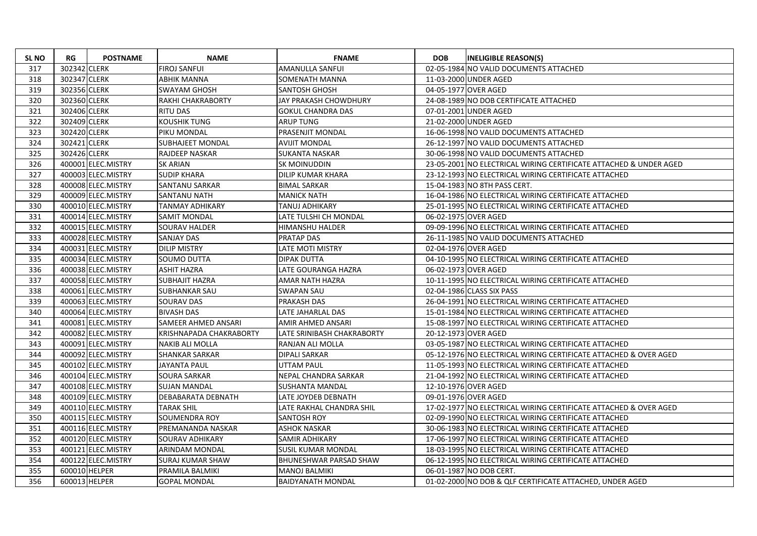| <b>SL NO</b> | RG            | <b>POSTNAME</b>    | <b>NAME</b>             | <b>FNAME</b>                  | <b>DOB</b> | <b>INELIGIBLE REASON(S)</b>                                       |
|--------------|---------------|--------------------|-------------------------|-------------------------------|------------|-------------------------------------------------------------------|
| 317          | 302342 CLERK  |                    | <b>FIROJ SANFUI</b>     | AMANULLA SANFUI               |            | 02-05-1984 NO VALID DOCUMENTS ATTACHED                            |
| 318          | 302347 CLERK  |                    | ABHIK MANNA             | SOMENATH MANNA                |            | 11-03-2000 UNDER AGED                                             |
| 319          | 302356 CLERK  |                    | <b>SWAYAM GHOSH</b>     | <b>SANTOSH GHOSH</b>          |            | 04-05-1977 OVER AGED                                              |
| 320          | 302360 CLERK  |                    | RAKHI CHAKRABORTY       | <b>JAY PRAKASH CHOWDHURY</b>  |            | 24-08-1989 NO DOB CERTIFICATE ATTACHED                            |
| 321          | 302406 CLERK  |                    | <b>RITU DAS</b>         | <b>GOKUL CHANDRA DAS</b>      |            | 07-01-2001 UNDER AGED                                             |
| 322          | 302409 CLERK  |                    | <b>KOUSHIK TUNG</b>     | <b>ARUP TUNG</b>              |            | 21-02-2000 UNDER AGED                                             |
| 323          | 302420 CLERK  |                    | PIKU MONDAL             | PRASENJIT MONDAL              |            | 16-06-1998 NO VALID DOCUMENTS ATTACHED                            |
| 324          | 302421 CLERK  |                    | <b>SUBHAJEET MONDAL</b> | <b>AVIJIT MONDAL</b>          |            | 26-12-1997 NO VALID DOCUMENTS ATTACHED                            |
| 325          | 302426 CLERK  |                    | <b>RAJDEEP NASKAR</b>   | <b>SUKANTA NASKAR</b>         |            | 30-06-1998 NO VALID DOCUMENTS ATTACHED                            |
| 326          |               | 400001 ELEC.MISTRY | <b>SK ARIAN</b>         | SK MOINUDDIN                  |            | 23-05-2001 NO ELECTRICAL WIRING CERTIFICATE ATTACHED & UNDER AGED |
| 327          |               | 400003 ELEC.MISTRY | <b>SUDIP KHARA</b>      | <b>DILIP KUMAR KHARA</b>      |            | 23-12-1993 NO ELECTRICAL WIRING CERTIFICATE ATTACHED              |
| 328          |               | 400008 ELEC.MISTRY | <b>SANTANU SARKAR</b>   | <b>BIMAL SARKAR</b>           |            | 15-04-1983 NO 8TH PASS CERT.                                      |
| 329          |               | 400009 ELEC.MISTRY | SANTANU NATH            | <b>MANICK NATH</b>            |            | 16-04-1986 NO ELECTRICAL WIRING CERTIFICATE ATTACHED              |
| 330          |               | 400010 ELEC.MISTRY | <b>TANMAY ADHIKARY</b>  | <b>TANUJ ADHIKARY</b>         |            | 25-01-1995 NO ELECTRICAL WIRING CERTIFICATE ATTACHED              |
| 331          |               | 400014 ELEC.MISTRY | <b>SAMIT MONDAL</b>     | LATE TULSHI CH MONDAL         |            | 06-02-1975 OVER AGED                                              |
| 332          |               | 400015 ELEC.MISTRY | <b>SOURAV HALDER</b>    | HIMANSHU HALDER               |            | 09-09-1996 NO ELECTRICAL WIRING CERTIFICATE ATTACHED              |
| 333          |               | 400028 ELEC.MISTRY | <b>SANJAY DAS</b>       | <b>PRATAP DAS</b>             |            | 26-11-1985 NO VALID DOCUMENTS ATTACHED                            |
| 334          |               | 400031 ELEC.MISTRY | <b>DILIP MISTRY</b>     | LATE MOTI MISTRY              |            | 02-04-1976 OVER AGED                                              |
| 335          |               | 400034 ELEC.MISTRY | SOUMO DUTTA             | <b>DIPAK DUTTA</b>            |            | 04-10-1995 NO ELECTRICAL WIRING CERTIFICATE ATTACHED              |
| 336          |               | 400038 ELEC.MISTRY | <b>ASHIT HAZRA</b>      | LATE GOURANGA HAZRA           |            | 06-02-1973 OVER AGED                                              |
| 337          |               | 400058 ELEC.MISTRY | <b>SUBHAJIT HAZRA</b>   | AMAR NATH HAZRA               |            | 10-11-1995 NO ELECTRICAL WIRING CERTIFICATE ATTACHED              |
| 338          |               | 400061 ELEC.MISTRY | <b>SUBHANKAR SAU</b>    | <b>SWAPAN SAU</b>             |            | 02-04-1986 CLASS SIX PASS                                         |
| 339          |               | 400063 ELEC.MISTRY | <b>SOURAV DAS</b>       | PRAKASH DAS                   |            | 26-04-1991 NO ELECTRICAL WIRING CERTIFICATE ATTACHED              |
| 340          |               | 400064 ELEC.MISTRY | <b>BIVASH DAS</b>       | LATE JAHARLAL DAS             |            | 15-01-1984 NO ELECTRICAL WIRING CERTIFICATE ATTACHED              |
| 341          |               | 400081 ELEC.MISTRY | SAMEER AHMED ANSARI     | AMIR AHMED ANSARI             |            | 15-08-1997 NO ELECTRICAL WIRING CERTIFICATE ATTACHED              |
| 342          |               | 400082 ELEC.MISTRY | KRISHNAPADA CHAKRABORTY | LATE SRINIBASH CHAKRABORTY    |            | 20-12-1973 OVER AGED                                              |
| 343          |               | 400091 ELEC.MISTRY | <b>NAKIB ALI MOLLA</b>  | RANJAN ALI MOLLA              |            | 03-05-1987 NO ELECTRICAL WIRING CERTIFICATE ATTACHED              |
| 344          |               | 400092 ELEC.MISTRY | <b>SHANKAR SARKAR</b>   | DIPALI SARKAR                 |            | 05-12-1976 NO ELECTRICAL WIRING CERTIFICATE ATTACHED & OVER AGED  |
| 345          |               | 400102 ELEC.MISTRY | <b>JAYANTA PAUL</b>     | UTTAM PAUL                    |            | 11-05-1993 NO ELECTRICAL WIRING CERTIFICATE ATTACHED              |
| 346          |               | 400104 ELEC.MISTRY | <b>SOURA SARKAR</b>     | NEPAL CHANDRA SARKAR          |            | 21-04-1992 NO ELECTRICAL WIRING CERTIFICATE ATTACHED              |
| 347          |               | 400108 ELEC.MISTRY | <b>SUJAN MANDAL</b>     | <b>SUSHANTA MANDAL</b>        |            | 12-10-1976 OVER AGED                                              |
| 348          |               | 400109 ELEC.MISTRY | DEBABARATA DEBNATH      | LATE JOYDEB DEBNATH           |            | 09-01-1976 OVER AGED                                              |
| 349          |               | 400110 ELEC.MISTRY | <b>TARAK SHIL</b>       | LATE RAKHAL CHANDRA SHIL      |            | 17-02-1977 NO ELECTRICAL WIRING CERTIFICATE ATTACHED & OVER AGED  |
| 350          |               | 400115 ELEC.MISTRY | SOUMENDRA ROY           | <b>SANTOSH ROY</b>            |            | 02-09-1990 NO ELECTRICAL WIRING CERTIFICATE ATTACHED              |
| 351          |               | 400116 ELEC.MISTRY | PREMANANDA NASKAR       | <b>ASHOK NASKAR</b>           |            | 30-06-1983 NO ELECTRICAL WIRING CERTIFICATE ATTACHED              |
| 352          |               | 400120 ELEC.MISTRY | <b>SOURAV ADHIKARY</b>  | <b>SAMIR ADHIKARY</b>         |            | 17-06-1997 NO ELECTRICAL WIRING CERTIFICATE ATTACHED              |
| 353          |               | 400121 ELEC.MISTRY | <b>ARINDAM MONDAL</b>   | <b>SUSIL KUMAR MONDAL</b>     |            | 18-03-1995 NO ELECTRICAL WIRING CERTIFICATE ATTACHED              |
| 354          |               | 400122 ELEC.MISTRY | <b>SURAJ KUMAR SHAW</b> | <b>BHUNESHWAR PARSAD SHAW</b> |            | 06-12-1995 NO ELECTRICAL WIRING CERTIFICATE ATTACHED              |
| 355          | 600010 HELPER |                    | PRAMILA BALMIKI         | <b>MANOJ BALMIKI</b>          |            | 06-01-1987 NO DOB CERT.                                           |
| 356          | 600013 HELPER |                    | <b>GOPAL MONDAL</b>     | <b>BAIDYANATH MONDAL</b>      |            | 01-02-2000 NO DOB & QLF CERTIFICATE ATTACHED, UNDER AGED          |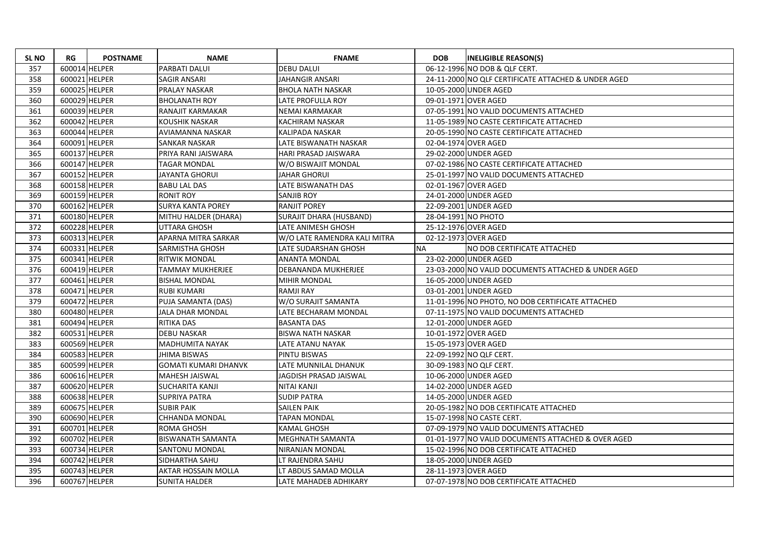| <b>SLNO</b> | RG            | <b>POSTNAME</b> | <b>NAME</b>                 | <b>FNAME</b>                   | <b>DOB</b>          | <b>INELIGIBLE REASON(S)</b>                         |
|-------------|---------------|-----------------|-----------------------------|--------------------------------|---------------------|-----------------------------------------------------|
| 357         | 600014 HELPER |                 | PARBATI DALUI               | <b>DEBU DALUI</b>              |                     | 06-12-1996 NO DOB & QLF CERT.                       |
| 358         | 600021 HELPER |                 | SAGIR ANSARI                | <b>JAHANGIR ANSARI</b>         |                     | 24-11-2000 NO QLF CERTIFICATE ATTACHED & UNDER AGED |
| 359         | 600025 HELPER |                 | PRALAY NASKAR               | <b>BHOLA NATH NASKAR</b>       |                     | 10-05-2000 UNDER AGED                               |
| 360         | 600029 HELPER |                 | <b>BHOLANATH ROY</b>        | LATE PROFULLA ROY              |                     | 09-01-1971 OVER AGED                                |
| 361         | 600039 HELPER |                 | RANAJIT KARMAKAR            | NEMAI KARMAKAR                 |                     | 07-05-1991 NO VALID DOCUMENTS ATTACHED              |
| 362         | 600042 HELPER |                 | <b>KOUSHIK NASKAR</b>       | KACHIRAM NASKAR                |                     | 11-05-1989 NO CASTE CERTIFICATE ATTACHED            |
| 363         | 600044 HELPER |                 | AVIAMANNA NASKAR            | KALIPADA NASKAR                |                     | 20-05-1990 NO CASTE CERTIFICATE ATTACHED            |
| 364         | 600091 HELPER |                 | SANKAR NASKAR               | LATE BISWANATH NASKAR          |                     | 02-04-1974 OVER AGED                                |
| 365         | 600137 HELPER |                 | PRIYA RANI JAISWARA         | <b>HARI PRASAD JAISWARA</b>    |                     | 29-02-2000 UNDER AGED                               |
| 366         | 600147 HELPER |                 | <b>TAGAR MONDAL</b>         | W/O BISWAJIT MONDAL            |                     | 07-02-1986 NO CASTE CERTIFICATE ATTACHED            |
| 367         | 600152 HELPER |                 | <b>JAYANTA GHORUI</b>       | <b>JAHAR GHORUI</b>            |                     | 25-01-1997 NO VALID DOCUMENTS ATTACHED              |
| 368         | 600158 HELPER |                 | <b>BABU LAL DAS</b>         | LATE BISWANATH DAS             |                     | 02-01-1967 OVER AGED                                |
| 369         | 600159 HELPER |                 | <b>RONIT ROY</b>            | <b>SANJIB ROY</b>              |                     | 24-01-2000 UNDER AGED                               |
| 370         | 600162 HELPER |                 | <b>SURYA KANTA POREY</b>    | <b>RANJIT POREY</b>            |                     | 22-09-2001 UNDER AGED                               |
| 371         | 600180 HELPER |                 | MITHU HALDER (DHARA)        | <b>SURAJIT DHARA (HUSBAND)</b> | 28-04-1991 NO PHOTO |                                                     |
| 372         | 600228 HELPER |                 | <b>UTTARA GHOSH</b>         | LATE ANIMESH GHOSH             |                     | 25-12-1976 OVER AGED                                |
| 373         | 600313 HELPER |                 | APARNA MITRA SARKAR         | W/O LATE RAMENDRA KALI MITRA   |                     | 02-12-1973 OVER AGED                                |
| 374         | 600331 HELPER |                 | SARMISTHA GHOSH             | LATE SUDARSHAN GHOSH           | <b>NA</b>           | NO DOB CERTIFICATE ATTACHED                         |
| 375         | 600341 HELPER |                 | <b>RITWIK MONDAL</b>        | <b>ANANTA MONDAL</b>           |                     | 23-02-2000 UNDER AGED                               |
| 376         | 600419 HELPER |                 | TAMMAY MUKHERJEE            | DEBANANDA MUKHERJEE            |                     | 23-03-2000 NO VALID DOCUMENTS ATTACHED & UNDER AGED |
| 377         | 600461 HELPER |                 | <b>BISHAL MONDAL</b>        | <b>MIHIR MONDAL</b>            |                     | 16-05-2000 UNDER AGED                               |
| 378         | 600471 HELPER |                 | <b>RUBI KUMARI</b>          | <b>RAMJI RAY</b>               |                     | 03-01-2001 UNDER AGED                               |
| 379         | 600472 HELPER |                 | PUJA SAMANTA (DAS)          | W/O SURAJIT SAMANTA            |                     | 11-01-1996 NO PHOTO, NO DOB CERTIFICATE ATTACHED    |
| 380         | 600480 HELPER |                 | <b>JALA DHAR MONDAL</b>     | LATE BECHARAM MONDAL           |                     | 07-11-1975 NO VALID DOCUMENTS ATTACHED              |
| 381         | 600494 HELPER |                 | <b>RITIKA DAS</b>           | <b>BASANTA DAS</b>             |                     | 12-01-2000 UNDER AGED                               |
| 382         | 600531 HELPER |                 | <b>DEBU NASKAR</b>          | <b>BISWA NATH NASKAR</b>       |                     | 10-01-1972 OVER AGED                                |
| 383         | 600569 HELPER |                 | <b>MADHUMITA NAYAK</b>      | LATE ATANU NAYAK               |                     | 15-05-1973 OVER AGED                                |
| 384         | 600583 HELPER |                 | <b>JHIMA BISWAS</b>         | PINTU BISWAS                   |                     | 22-09-1992 NO QLF CERT.                             |
| 385         | 600599 HELPER |                 | <b>GOMATI KUMARI DHANVK</b> | LATE MUNNILAL DHANUK           |                     | 30-09-1983 NO QLF CERT.                             |
| 386         | 600616 HELPER |                 | MAHESH JAISWAL              | JAGDISH PRASAD JAISWAL         |                     | 10-06-2000 UNDER AGED                               |
| 387         | 600620 HELPER |                 | <b>SUCHARITA KANJI</b>      | NITAI KANJI                    |                     | 14-02-2000 UNDER AGED                               |
| 388         | 600638 HELPER |                 | <b>SUPRIYA PATRA</b>        | <b>SUDIP PATRA</b>             |                     | 14-05-2000 UNDER AGED                               |
| 389         | 600675 HELPER |                 | <b>SUBIR PAIK</b>           | <b>SAILEN PAIK</b>             |                     | 20-05-1982 NO DOB CERTIFICATE ATTACHED              |
| 390         | 600690 HELPER |                 | <b>CHHANDA MONDAL</b>       | <b>TAPAN MONDAL</b>            |                     | 15-07-1998 NO CASTE CERT.                           |
| 391         | 600701 HELPER |                 | <b>ROMA GHOSH</b>           | <b>KAMAL GHOSH</b>             |                     | 07-09-1979 NO VALID DOCUMENTS ATTACHED              |
| 392         | 600702 HELPER |                 | <b>BISWANATH SAMANTA</b>    | MEGHNATH SAMANTA               |                     | 01-01-1977 NO VALID DOCUMENTS ATTACHED & OVER AGED  |
| 393         | 600734 HELPER |                 | SANTONU MONDAL              | NIRANJAN MONDAL                |                     | 15-02-1996 NO DOB CERTIFICATE ATTACHED              |
| 394         | 600742 HELPER |                 | SIDHARTHA SAHU              | LT RAJENDRA SAHU               |                     | 18-05-2000 UNDER AGED                               |
| 395         | 600743 HELPER |                 | AKTAR HOSSAIN MOLLA         | LT ABDUS SAMAD MOLLA           |                     | 28-11-1973 OVER AGED                                |
| 396         | 600767 HELPER |                 | <b>SUNITA HALDER</b>        | LATE MAHADEB ADHIKARY          |                     | 07-07-1978 NO DOB CERTIFICATE ATTACHED              |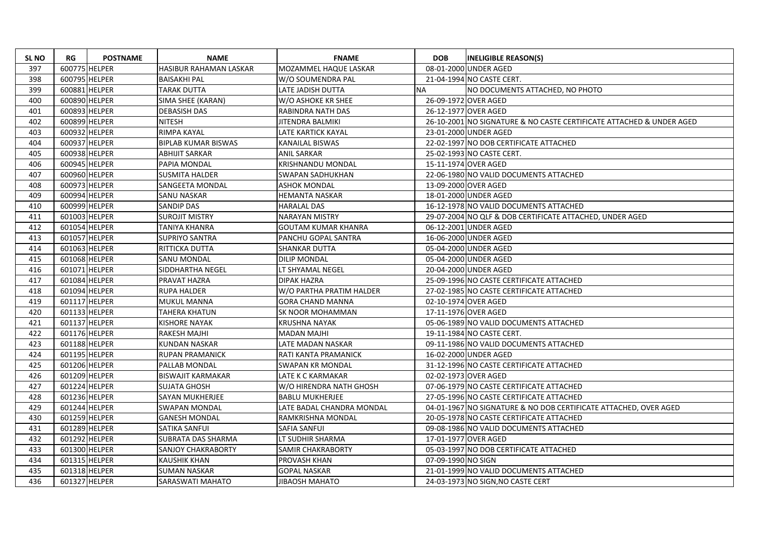| <b>SL NO</b> | RG            | <b>POSTNAME</b> | <b>NAME</b>                | <b>FNAME</b>               | <b>DOB</b>         | <b>INELIGIBLE REASON(S)</b>                                          |
|--------------|---------------|-----------------|----------------------------|----------------------------|--------------------|----------------------------------------------------------------------|
| 397          |               | 600775 HELPER   | HASIBUR RAHAMAN LASKAR     | MOZAMMEL HAQUE LASKAR      |                    | 08-01-2000 UNDER AGED                                                |
| 398          |               | 600795 HELPER   | <b>BAISAKHI PAL</b>        | W/O SOUMENDRA PAL          |                    | 21-04-1994 NO CASTE CERT.                                            |
| 399          |               | 600881 HELPER   | <b>TARAK DUTTA</b>         | LATE JADISH DUTTA          | <b>NA</b>          | NO DOCUMENTS ATTACHED, NO PHOTO                                      |
| 400          |               | 600890 HELPER   | SIMA SHEE (KARAN)          | W/O ASHOKE KR SHEE         |                    | 26-09-1972 OVER AGED                                                 |
| 401          |               | 600893 HELPER   | <b>DEBASISH DAS</b>        | RABINDRA NATH DAS          |                    | 26-12-1977 OVER AGED                                                 |
| 402          |               | 600899 HELPER   | <b>NITESH</b>              | JITENDRA BALMIKI           |                    | 26-10-2001 NO SIGNATURE & NO CASTE CERTIFICATE ATTACHED & UNDER AGED |
| 403          |               | 600932 HELPER   | RIMPA KAYAL                | LATE KARTICK KAYAL         |                    | 23-01-2000 UNDER AGED                                                |
| 404          |               | 600937 HELPER   | <b>BIPLAB KUMAR BISWAS</b> | KANAILAL BISWAS            |                    | 22-02-1997 NO DOB CERTIFICATE ATTACHED                               |
| 405          |               | 600938 HELPER   | <b>ABHIJIT SARKAR</b>      | <b>ANIL SARKAR</b>         |                    | 25-02-1993 NO CASTE CERT.                                            |
| 406          |               | 600945 HELPER   | PAPIA MONDAL               | <b>KRISHNANDU MONDAL</b>   |                    | 15-11-1974 OVER AGED                                                 |
| 407          |               | 600960 HELPER   | <b>SUSMITA HALDER</b>      | <b>SWAPAN SADHUKHAN</b>    |                    | 22-06-1980 NO VALID DOCUMENTS ATTACHED                               |
| 408          |               | 600973 HELPER   | <b>SANGEETA MONDAL</b>     | <b>ASHOK MONDAL</b>        |                    | 13-09-2000 OVER AGED                                                 |
| 409          | 600994 HELPER |                 | <b>SANU NASKAR</b>         | HEMANTA NASKAR             |                    | 18-01-2000 UNDER AGED                                                |
| 410          |               | 600999 HELPER   | <b>SANDIP DAS</b>          | HARALAL DAS                |                    | 16-12-1978 NO VALID DOCUMENTS ATTACHED                               |
| 411          |               | 601003 HELPER   | <b>SUROJIT MISTRY</b>      | <b>NARAYAN MISTRY</b>      |                    | 29-07-2004 NO QLF & DOB CERTIFICATE ATTACHED, UNDER AGED             |
| 412          |               | 601054 HELPER   | TANIYA KHANRA              | <b>GOUTAM KUMAR KHANRA</b> |                    | 06-12-2001 UNDER AGED                                                |
| 413          |               | 601057 HELPER   | <b>SUPRIYO SANTRA</b>      | PANCHU GOPAL SANTRA        |                    | 16-06-2000 UNDER AGED                                                |
| 414          |               | 601063 HELPER   | RITTICKA DUTTA             | SHANKAR DUTTA              |                    | 05-04-2000 UNDER AGED                                                |
| 415          |               | 601068 HELPER   | <b>SANU MONDAL</b>         | <b>DILIP MONDAL</b>        |                    | 05-04-2000 UNDER AGED                                                |
| 416          |               | 601071 HELPER   | SIDDHARTHA NEGEL           | LT SHYAMAL NEGEL           |                    | 20-04-2000 UNDER AGED                                                |
| 417          |               | 601084 HELPER   | PRAVAT HAZRA               | <b>DIPAK HAZRA</b>         |                    | 25-09-1996 NO CASTE CERTIFICATE ATTACHED                             |
| 418          |               | 601094 HELPER   | <b>RUPA HALDER</b>         | W/O PARTHA PRATIM HALDER   |                    | 27-02-1985 NO CASTE CERTIFICATE ATTACHED                             |
| 419          |               | 601117 HELPER   | MUKUL MANNA                | <b>GORA CHAND MANNA</b>    |                    | 02-10-1974 OVER AGED                                                 |
| 420          |               | 601133 HELPER   | TAHERA KHATUN              | SK NOOR MOHAMMAN           |                    | 17-11-1976 OVER AGED                                                 |
| 421          |               | 601137 HELPER   | <b>KISHORE NAYAK</b>       | <b>KRUSHNA NAYAK</b>       |                    | 05-06-1989 NO VALID DOCUMENTS ATTACHED                               |
| 422          |               | 601176 HELPER   | <b>RAKESH MAJHI</b>        | <b>MADAN MAJHI</b>         |                    | 19-11-1984 NO CASTE CERT.                                            |
| 423          |               | 601188 HELPER   | <b>KUNDAN NASKAR</b>       | LATE MADAN NASKAR          |                    | 09-11-1986 NO VALID DOCUMENTS ATTACHED                               |
| 424          |               | 601195 HELPER   | <b>RUPAN PRAMANICK</b>     | RATI KANTA PRAMANICK       |                    | 16-02-2000 UNDER AGED                                                |
| 425          |               | 601206 HELPER   | PALLAB MONDAL              | <b>SWAPAN KR MONDAL</b>    |                    | 31-12-1996 NO CASTE CERTIFICATE ATTACHED                             |
| 426          |               | 601209 HELPER   | <b>BISWAJIT KARMAKAR</b>   | LATE K C KARMAKAR          |                    | 02-02-1973 OVER AGED                                                 |
| 427          |               | 601224 HELPER   | <b>SUJATA GHOSH</b>        | W/O HIRENDRA NATH GHOSH    |                    | 07-06-1979 NO CASTE CERTIFICATE ATTACHED                             |
| 428          |               | 601236 HELPER   | SAYAN MUKHERJEE            | <b>BABLU MUKHERJEE</b>     |                    | 27-05-1996 NO CASTE CERTIFICATE ATTACHED                             |
| 429          |               | 601244 HELPER   | <b>SWAPAN MONDAL</b>       | LATE BADAL CHANDRA MONDAL  |                    | 04-01-1967 NO SIGNATURE & NO DOB CERTIFICATE ATTACHED, OVER AGED     |
| 430          |               | 601259 HELPER   | <b>GANESH MONDAL</b>       | RAMKRISHNA MONDAL          |                    | 20-05-1978 NO CASTE CERTIFICATE ATTACHED                             |
| 431          |               | 601289 HELPER   | <b>SATIKA SANFUI</b>       | <b>SAFIA SANFUI</b>        |                    | 09-08-1986 NO VALID DOCUMENTS ATTACHED                               |
| 432          |               | 601292 HELPER   | <b>SUBRATA DAS SHARMA</b>  | LT SUDHIR SHARMA           |                    | 17-01-1977 OVER AGED                                                 |
| 433          |               | 601300 HELPER   | <b>SANJOY CHAKRABORTY</b>  | <b>SAMIR CHAKRABORTY</b>   |                    | 05-03-1997 NO DOB CERTIFICATE ATTACHED                               |
| 434          |               | 601315 HELPER   | <b>KAUSHIK KHAN</b>        | PROVASH KHAN               | 07-09-1990 NO SIGN |                                                                      |
| 435          |               | 601318 HELPER   | <b>SUMAN NASKAR</b>        | <b>GOPAL NASKAR</b>        |                    | 21-01-1999 NO VALID DOCUMENTS ATTACHED                               |
| 436          |               | 601327 HELPER   | SARASWATI MAHATO           | <b>JIBAOSH MAHATO</b>      |                    | 24-03-1973 NO SIGN, NO CASTE CERT                                    |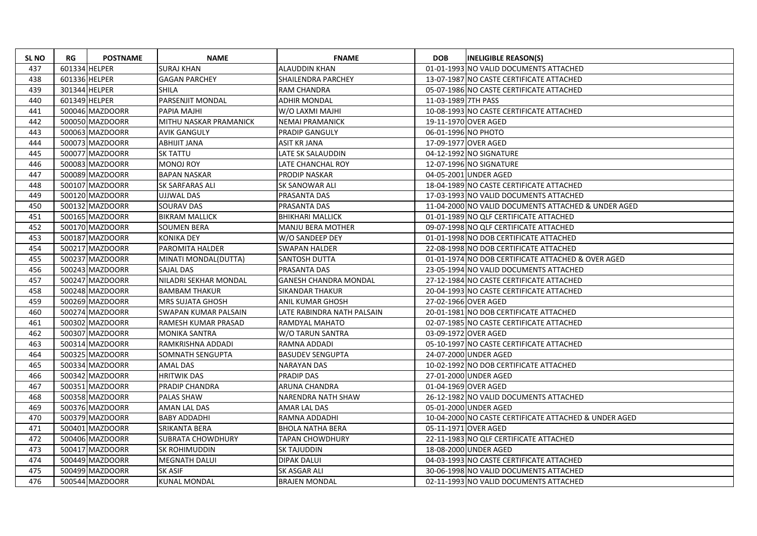| <b>SL NO</b> | RG            | <b>POSTNAME</b> | <b>NAME</b>              | <b>FNAME</b>                 | <b>DOB</b>          | <b>INELIGIBLE REASON(S)</b>                           |
|--------------|---------------|-----------------|--------------------------|------------------------------|---------------------|-------------------------------------------------------|
| 437          | 601334 HELPER |                 | <b>SURAJ KHAN</b>        | <b>ALAUDDIN KHAN</b>         |                     | 01-01-1993 NO VALID DOCUMENTS ATTACHED                |
| 438          | 601336 HELPER |                 | <b>GAGAN PARCHEY</b>     | SHAILENDRA PARCHEY           |                     | 13-07-1987 NO CASTE CERTIFICATE ATTACHED              |
| 439          |               | 301344 HELPER   | <b>SHILA</b>             | <b>RAM CHANDRA</b>           |                     | 05-07-1986 NO CASTE CERTIFICATE ATTACHED              |
| 440          |               | 601349 HELPER   | <b>PARSENJIT MONDAL</b>  | <b>ADHIR MONDAL</b>          | 11-03-1989 7TH PASS |                                                       |
| 441          |               | 500046 MAZDOORR | <b>PAPIA MAJHI</b>       | W/O LAXMI MAJHI              |                     | 10-08-1993 NO CASTE CERTIFICATE ATTACHED              |
| 442          |               | 500050 MAZDOORR | MITHU NASKAR PRAMANICK   | <b>NEMAI PRAMANICK</b>       |                     | 19-11-1970 OVER AGED                                  |
| 443          |               | 500063 MAZDOORR | <b>AVIK GANGULY</b>      | <b>PRADIP GANGULY</b>        | 06-01-1996 NO PHOTO |                                                       |
| 444          |               | 500073 MAZDOORR | <b>ABHIJIT JANA</b>      | ASIT KR JANA                 |                     | 17-09-1977 OVER AGED                                  |
| 445          |               | 500077 MAZDOORR | <b>SK TATTU</b>          | LATE SK SALAUDDIN            |                     | 04-12-1992 NO SIGNATURE                               |
| 446          |               | 500083 MAZDOORR | <b>MONOJ ROY</b>         | LATE CHANCHAL ROY            |                     | 12-07-1996 NO SIGNATURE                               |
| 447          |               | 500089 MAZDOORR | <b>BAPAN NASKAR</b>      | <b>PRODIP NASKAR</b>         |                     | 04-05-2001 UNDER AGED                                 |
| 448          |               | 500107 MAZDOORR | <b>SK SARFARAS ALI</b>   | <b>SK SANOWAR ALI</b>        |                     | 18-04-1989 NO CASTE CERTIFICATE ATTACHED              |
| 449          |               | 500120 MAZDOORR | <b>UJJWAL DAS</b>        | PRASANTA DAS                 |                     | 17-03-1993 NO VALID DOCUMENTS ATTACHED                |
| 450          |               | 500132 MAZDOORR | <b>SOURAV DAS</b>        | PRASANTA DAS                 |                     | 11-04-2000 NO VALID DOCUMENTS ATTACHED & UNDER AGED   |
| 451          |               | 500165 MAZDOORR | <b>BIKRAM MALLICK</b>    | <b>BHIKHARI MALLICK</b>      |                     | 01-01-1989 NO QLF CERTIFICATE ATTACHED                |
| 452          |               | 500170 MAZDOORR | <b>SOUMEN BERA</b>       | MANJU BERA MOTHER            |                     | 09-07-1998 NO QLF CERTIFICATE ATTACHED                |
| 453          |               | 500187 MAZDOORR | <b>KONIKA DEY</b>        | W/O SANDEEP DEY              |                     | 01-01-1998 NO DOB CERTIFICATE ATTACHED                |
| 454          |               | 500217 MAZDOORR | <b>PAROMITA HALDER</b>   | <b>SWAPAN HALDER</b>         |                     | 22-08-1998 NO DOB CERTIFICATE ATTACHED                |
| 455          |               | 500237 MAZDOORR | MINATI MONDAL(DUTTA)     | SANTOSH DUTTA                |                     | 01-01-1974 NO DOB CERTIFICATE ATTACHED & OVER AGED    |
| 456          |               | 500243 MAZDOORR | <b>SAJAL DAS</b>         | <b>PRASANTA DAS</b>          |                     | 23-05-1994 NO VALID DOCUMENTS ATTACHED                |
| 457          |               | 500247 MAZDOORR | NILADRI SEKHAR MONDAL    | <b>GANESH CHANDRA MONDAL</b> |                     | 27-12-1984 NO CASTE CERTIFICATE ATTACHED              |
| 458          |               | 500248 MAZDOORR | <b>BAMBAM THAKUR</b>     | <b>SIKANDAR THAKUR</b>       |                     | 20-04-1993 NO CASTE CERTIFICATE ATTACHED              |
| 459          |               | 500269 MAZDOORR | MRS SUJATA GHOSH         | ANIL KUMAR GHOSH             |                     | 27-02-1966 OVER AGED                                  |
| 460          |               | 500274 MAZDOORR | SWAPAN KUMAR PALSAIN     | LATE RABINDRA NATH PALSAIN   |                     | 20-01-1981 NO DOB CERTIFICATE ATTACHED                |
| 461          |               | 500302 MAZDOORR | RAMESH KUMAR PRASAD      | <b>RAMDYAL MAHATO</b>        |                     | 02-07-1985 NO CASTE CERTIFICATE ATTACHED              |
| 462          |               | 500307 MAZDOORR | <b>MONIKA SANTRA</b>     | W/O TARUN SANTRA             |                     | 03-09-1972 OVER AGED                                  |
| 463          |               | 500314 MAZDOORR | RAMKRISHNA ADDADI        | RAMNA ADDADI                 |                     | 05-10-1997 NO CASTE CERTIFICATE ATTACHED              |
| 464          |               | 500325 MAZDOORR | SOMNATH SENGUPTA         | <b>BASUDEV SENGUPTA</b>      |                     | 24-07-2000 UNDER AGED                                 |
| 465          |               | 500334 MAZDOORR | <b>AMAL DAS</b>          | <b>NARAYAN DAS</b>           |                     | 10-02-1992 NO DOB CERTIFICATE ATTACHED                |
| 466          |               | 500342 MAZDOORR | <b>HRITWIK DAS</b>       | <b>PRADIP DAS</b>            |                     | 27-01-2000 UNDER AGED                                 |
| 467          |               | 500351 MAZDOORR | <b>PRADIP CHANDRA</b>    | ARUNA CHANDRA                |                     | 01-04-1969 OVER AGED                                  |
| 468          |               | 500358 MAZDOORR | <b>PALAS SHAW</b>        | NARENDRA NATH SHAW           |                     | 26-12-1982 NO VALID DOCUMENTS ATTACHED                |
| 469          |               | 500376 MAZDOORR | AMAN LAL DAS             | AMAR LAL DAS                 |                     | 05-01-2000 UNDER AGED                                 |
| 470          |               | 500379 MAZDOORR | <b>BABY ADDADHI</b>      | RAMNA ADDADHI                |                     | 10-04-2000 NO CASTE CERTIFICATE ATTACHED & UNDER AGED |
| 471          |               | 500401 MAZDOORR | <b>SRIKANTA BERA</b>     | <b>BHOLA NATHA BERA</b>      |                     | 05-11-1971 OVER AGED                                  |
| 472          |               | 500406 MAZDOORR | <b>SUBRATA CHOWDHURY</b> | <b>TAPAN CHOWDHURY</b>       |                     | 22-11-1983 NO QLF CERTIFICATE ATTACHED                |
| 473          |               | 500417 MAZDOORR | <b>SK ROHIMUDDIN</b>     | <b>SK TAJUDDIN</b>           |                     | 18-08-2000 UNDER AGED                                 |
| 474          |               | 500449 MAZDOORR | <b>MEGNATH DALUI</b>     | <b>DIPAK DALUI</b>           |                     | 04-03-1993 NO CASTE CERTIFICATE ATTACHED              |
| 475          |               | 500499 MAZDOORR | <b>SK ASIF</b>           | SK ASGAR ALI                 |                     | 30-06-1998 NO VALID DOCUMENTS ATTACHED                |
| 476          |               | 500544 MAZDOORR | <b>KUNAL MONDAL</b>      | <b>BRAJEN MONDAL</b>         |                     | 02-11-1993 NO VALID DOCUMENTS ATTACHED                |